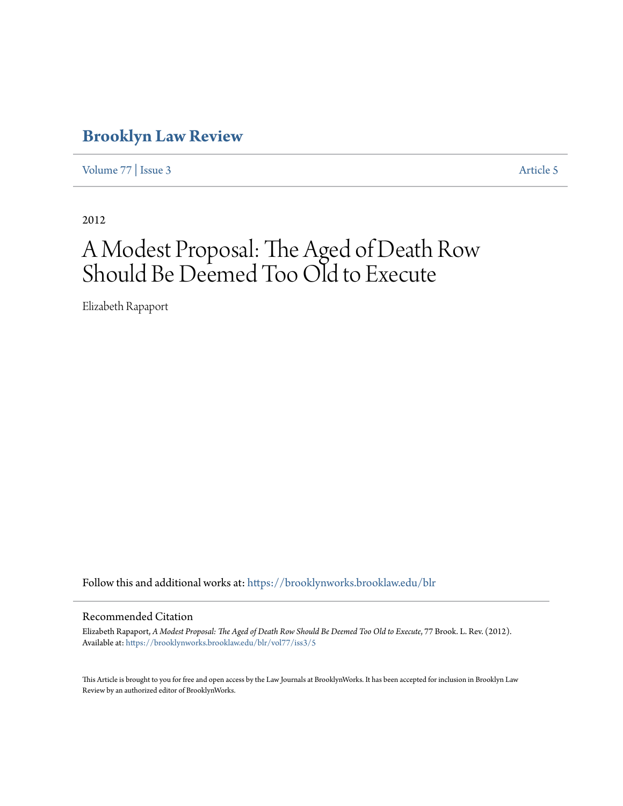# **[Brooklyn Law Review](https://brooklynworks.brooklaw.edu/blr?utm_source=brooklynworks.brooklaw.edu%2Fblr%2Fvol77%2Fiss3%2F5&utm_medium=PDF&utm_campaign=PDFCoverPages)**

[Volume 77](https://brooklynworks.brooklaw.edu/blr/vol77?utm_source=brooklynworks.brooklaw.edu%2Fblr%2Fvol77%2Fiss3%2F5&utm_medium=PDF&utm_campaign=PDFCoverPages) | [Issue 3](https://brooklynworks.brooklaw.edu/blr/vol77/iss3?utm_source=brooklynworks.brooklaw.edu%2Fblr%2Fvol77%2Fiss3%2F5&utm_medium=PDF&utm_campaign=PDFCoverPages) [Article 5](https://brooklynworks.brooklaw.edu/blr/vol77/iss3/5?utm_source=brooklynworks.brooklaw.edu%2Fblr%2Fvol77%2Fiss3%2F5&utm_medium=PDF&utm_campaign=PDFCoverPages)

2012

# A Modest Proposal: The Aged of Death Row Should Be Deemed Too Old to Execute

Elizabeth Rapaport

Follow this and additional works at: [https://brooklynworks.brooklaw.edu/blr](https://brooklynworks.brooklaw.edu/blr?utm_source=brooklynworks.brooklaw.edu%2Fblr%2Fvol77%2Fiss3%2F5&utm_medium=PDF&utm_campaign=PDFCoverPages)

#### Recommended Citation

Elizabeth Rapaport, *A Modest Proposal: The Aged of Death Row Should Be Deemed Too Old to Execute*, 77 Brook. L. Rev. (2012). Available at: [https://brooklynworks.brooklaw.edu/blr/vol77/iss3/5](https://brooklynworks.brooklaw.edu/blr/vol77/iss3/5?utm_source=brooklynworks.brooklaw.edu%2Fblr%2Fvol77%2Fiss3%2F5&utm_medium=PDF&utm_campaign=PDFCoverPages)

This Article is brought to you for free and open access by the Law Journals at BrooklynWorks. It has been accepted for inclusion in Brooklyn Law Review by an authorized editor of BrooklynWorks.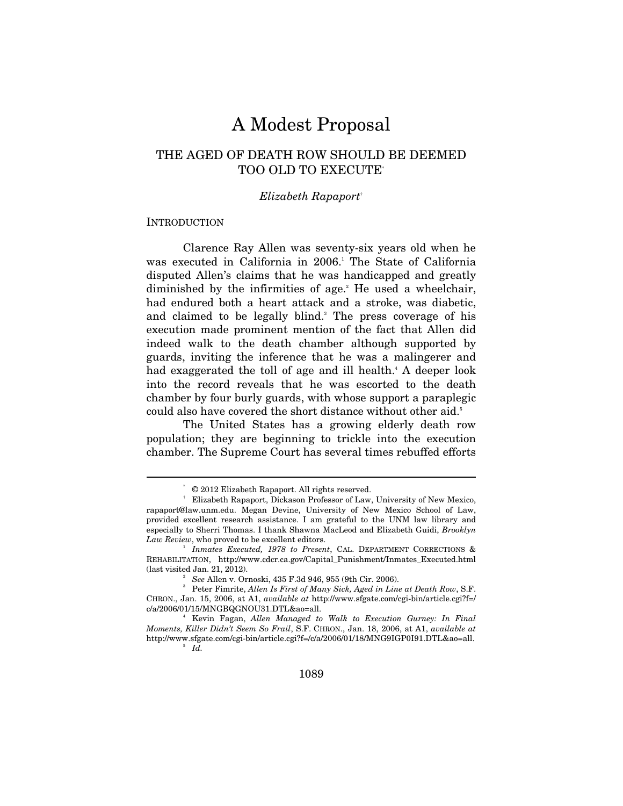# A Modest Proposal

# THE AGED OF DEATH ROW SHOULD BE DEEMED TOO OLD TO EXECUTE\*

#### *Elizabeth Rapaport*†

#### **INTRODUCTION**

Clarence Ray Allen was seventy-six years old when he was executed in California in 2006.<sup>1</sup> The State of California disputed Allen's claims that he was handicapped and greatly diminished by the infirmities of age.<sup>2</sup> He used a wheelchair, had endured both a heart attack and a stroke, was diabetic, and claimed to be legally blind.<sup>3</sup> The press coverage of his execution made prominent mention of the fact that Allen did indeed walk to the death chamber although supported by guards, inviting the inference that he was a malingerer and had exaggerated the toll of age and ill health.<sup>4</sup> A deeper look into the record reveals that he was escorted to the death chamber by four burly guards, with whose support a paraplegic could also have covered the short distance without other aid.<sup>5</sup>

The United States has a growing elderly death row population; they are beginning to trickle into the execution chamber. The Supreme Court has several times rebuffed efforts

 $Q$  2012 Elizabeth Rapaport. All rights reserved.

<sup>†</sup> Elizabeth Rapaport, Dickason Professor of Law, University of New Mexico, rapaport@law.unm.edu. Megan Devine, University of New Mexico School of Law, provided excellent research assistance. I am grateful to the UNM law library and especially to Sherri Thomas. I thank Shawna MacLeod and Elizabeth Guidi, *Brooklyn*  Law Review, who proved to be excellent editors.

*Inmates Executed, 1978 to Present*, CAL. DEPARTMENT CORRECTIONS & REHABILITATION, http://www.cdcr.ca.gov/Capital\_Punishment/Inmates\_Executed.html (last visited Jan. 21, 2012). 2

*See Allen v. Ornoski, 435 F.3d 946, 955 (9th Cir. 2006).* 

Peter Fimrite, *Allen Is First of Many Sick, Aged in Line at Death Row*, S.F. CHRON., Jan. 15, 2006, at A1, *available at* http://www.sfgate.com/cgi-bin/article.cgi?f=/ c/a/2006/01/15/MNGBQGNOU31.DTL&ao=all. 4

Kevin Fagan, *Allen Managed to Walk to Execution Gurney: In Final Moments, Killer Didn't Seem So Frail*, S.F. CHRON., Jan. 18, 2006, at A1, *available at*  http://www.sfgate.com/cgi-bin/article.cgi?f=/c/a/2006/01/18/MNG9IGP0I91.DTL&ao=all. 5  $\overline{\phantom{a}}^5$  *Id.*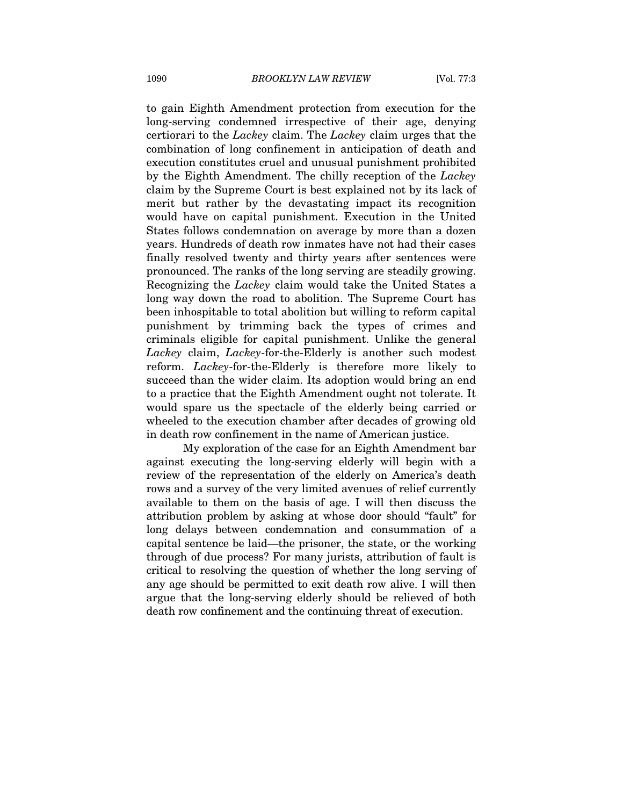to gain Eighth Amendment protection from execution for the long-serving condemned irrespective of their age, denying certiorari to the *Lackey* claim. The *Lackey* claim urges that the combination of long confinement in anticipation of death and execution constitutes cruel and unusual punishment prohibited by the Eighth Amendment. The chilly reception of the *Lackey* claim by the Supreme Court is best explained not by its lack of merit but rather by the devastating impact its recognition would have on capital punishment. Execution in the United States follows condemnation on average by more than a dozen years. Hundreds of death row inmates have not had their cases finally resolved twenty and thirty years after sentences were pronounced. The ranks of the long serving are steadily growing. Recognizing the *Lackey* claim would take the United States a long way down the road to abolition. The Supreme Court has been inhospitable to total abolition but willing to reform capital punishment by trimming back the types of crimes and criminals eligible for capital punishment. Unlike the general *Lackey* claim, *Lackey*-for-the-Elderly is another such modest reform. *Lackey*-for-the-Elderly is therefore more likely to succeed than the wider claim. Its adoption would bring an end to a practice that the Eighth Amendment ought not tolerate. It would spare us the spectacle of the elderly being carried or wheeled to the execution chamber after decades of growing old in death row confinement in the name of American justice.

My exploration of the case for an Eighth Amendment bar against executing the long-serving elderly will begin with a review of the representation of the elderly on America's death rows and a survey of the very limited avenues of relief currently available to them on the basis of age. I will then discuss the attribution problem by asking at whose door should "fault" for long delays between condemnation and consummation of a capital sentence be laid—the prisoner, the state, or the working through of due process? For many jurists, attribution of fault is critical to resolving the question of whether the long serving of any age should be permitted to exit death row alive. I will then argue that the long-serving elderly should be relieved of both death row confinement and the continuing threat of execution.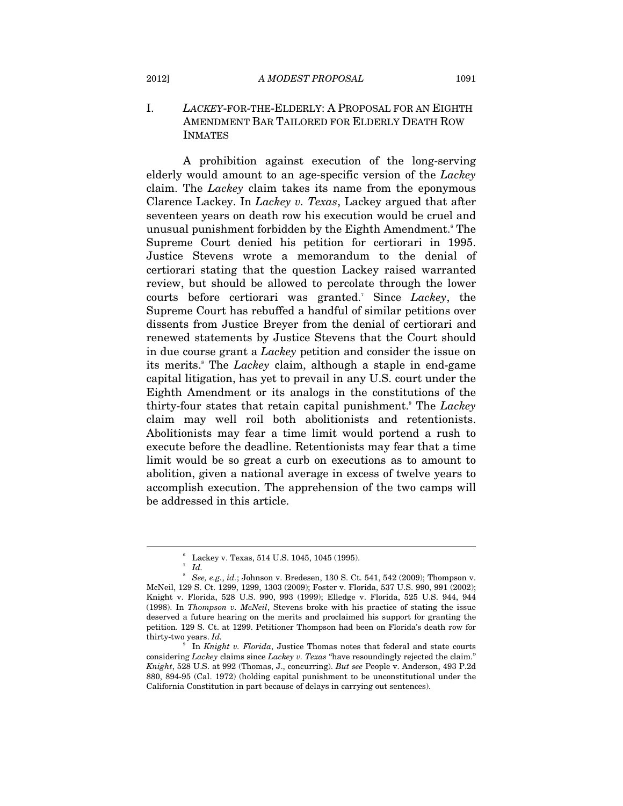# I. *LACKEY*-FOR-THE-ELDERLY: A PROPOSAL FOR AN EIGHTH AMENDMENT BAR TAILORED FOR ELDERLY DEATH ROW INMATES

A prohibition against execution of the long-serving elderly would amount to an age-specific version of the *Lackey* claim. The *Lackey* claim takes its name from the eponymous Clarence Lackey. In *Lackey v. Texas*, Lackey argued that after seventeen years on death row his execution would be cruel and unusual punishment forbidden by the Eighth Amendment.<sup>6</sup> The Supreme Court denied his petition for certiorari in 1995. Justice Stevens wrote a memorandum to the denial of certiorari stating that the question Lackey raised warranted review, but should be allowed to percolate through the lower courts before certiorari was granted.7 Since *Lackey*, the Supreme Court has rebuffed a handful of similar petitions over dissents from Justice Breyer from the denial of certiorari and renewed statements by Justice Stevens that the Court should in due course grant a *Lackey* petition and consider the issue on its merits.<sup>8</sup> The *Lackey* claim, although a staple in end-game capital litigation, has yet to prevail in any U.S. court under the Eighth Amendment or its analogs in the constitutions of the thirty-four states that retain capital punishment.9 The *Lackey* claim may well roil both abolitionists and retentionists. Abolitionists may fear a time limit would portend a rush to execute before the deadline. Retentionists may fear that a time limit would be so great a curb on executions as to amount to abolition, given a national average in excess of twelve years to accomplish execution. The apprehension of the two camps will be addressed in this article.

<sup>6</sup> Lackey v. Texas, 514 U.S. 1045, 1045 (1995).

 $^7$  *Id.* 

<sup>8</sup>  *See, e.g.*, *id.*; Johnson v. Bredesen, 130 S. Ct. 541, 542 (2009); Thompson v. McNeil, 129 S. Ct. 1299, 1299, 1303 (2009); Foster v. Florida, 537 U.S. 990, 991 (2002); Knight v. Florida, 528 U.S. 990, 993 (1999); Elledge v. Florida, 525 U.S. 944, 944 (1998). In *Thompson v. McNeil*, Stevens broke with his practice of stating the issue deserved a future hearing on the merits and proclaimed his support for granting the petition. 129 S. Ct. at 1299. Petitioner Thompson had been on Florida's death row for thirty-two years. *Id.* 

<sup>9</sup> In *Knight v. Florida*, Justice Thomas notes that federal and state courts considering *Lackey* claims since *Lackey v. Texas* "have resoundingly rejected the claim." *Knight*, 528 U.S. at 992 (Thomas, J., concurring). *But see* People v. Anderson, 493 P.2d 880, 894-95 (Cal. 1972) (holding capital punishment to be unconstitutional under the California Constitution in part because of delays in carrying out sentences).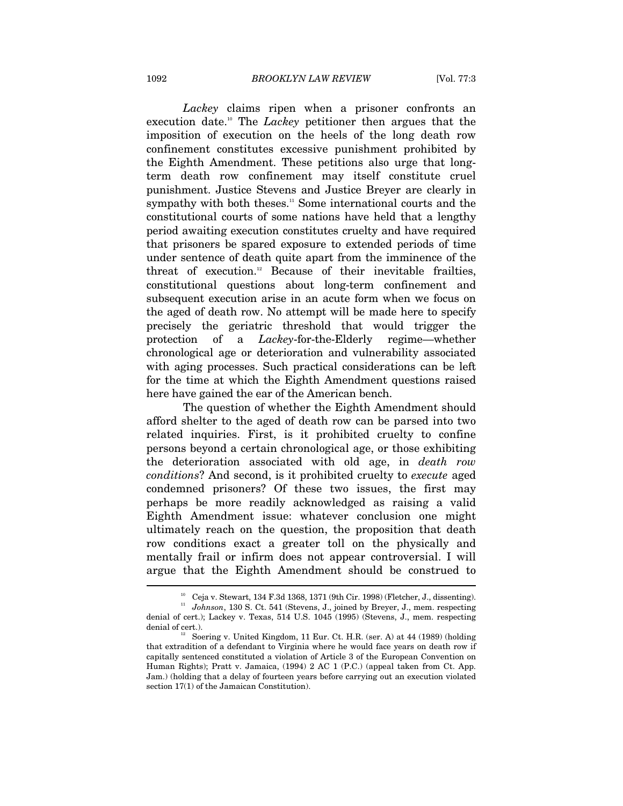*Lackey* claims ripen when a prisoner confronts an execution date.10 The *Lackey* petitioner then argues that the imposition of execution on the heels of the long death row confinement constitutes excessive punishment prohibited by the Eighth Amendment. These petitions also urge that longterm death row confinement may itself constitute cruel punishment. Justice Stevens and Justice Breyer are clearly in sympathy with both theses.<sup>11</sup> Some international courts and the constitutional courts of some nations have held that a lengthy period awaiting execution constitutes cruelty and have required that prisoners be spared exposure to extended periods of time under sentence of death quite apart from the imminence of the threat of execution.<sup>12</sup> Because of their inevitable frailties, constitutional questions about long-term confinement and subsequent execution arise in an acute form when we focus on the aged of death row. No attempt will be made here to specify precisely the geriatric threshold that would trigger the protection of a *Lackey*-for-the-Elderly regime—whether chronological age or deterioration and vulnerability associated with aging processes. Such practical considerations can be left for the time at which the Eighth Amendment questions raised here have gained the ear of the American bench.

The question of whether the Eighth Amendment should afford shelter to the aged of death row can be parsed into two related inquiries. First, is it prohibited cruelty to confine persons beyond a certain chronological age, or those exhibiting the deterioration associated with old age, in *death row conditions*? And second, is it prohibited cruelty to *execute* aged condemned prisoners? Of these two issues, the first may perhaps be more readily acknowledged as raising a valid Eighth Amendment issue: whatever conclusion one might ultimately reach on the question, the proposition that death row conditions exact a greater toll on the physically and mentally frail or infirm does not appear controversial. I will argue that the Eighth Amendment should be construed to  $\overline{a}$ 

<sup>&</sup>lt;sup>10</sup> Ceja v. Stewart, 134 F.3d 1368, 1371 (9th Cir. 1998) (Fletcher, J., dissenting). <sup>11</sup> *Johnson*, 130 S. Ct. 541 (Stevens, J., joined by Breyer, J., mem. respecting denial of cert.); Lackey v. Texas, 514 U.S. 1045 (1995) (Stevens, J., mem. respecting denial of cert.).  $12^2$  Soering v. United Kingdom, 11 Eur. Ct. H.R. (ser. A) at 44 (1989) (holding

that extradition of a defendant to Virginia where he would face years on death row if capitally sentenced constituted a violation of Article 3 of the European Convention on Human Rights); Pratt v. Jamaica, (1994) 2 AC 1 (P.C.) (appeal taken from Ct. App. Jam.) (holding that a delay of fourteen years before carrying out an execution violated section 17(1) of the Jamaican Constitution).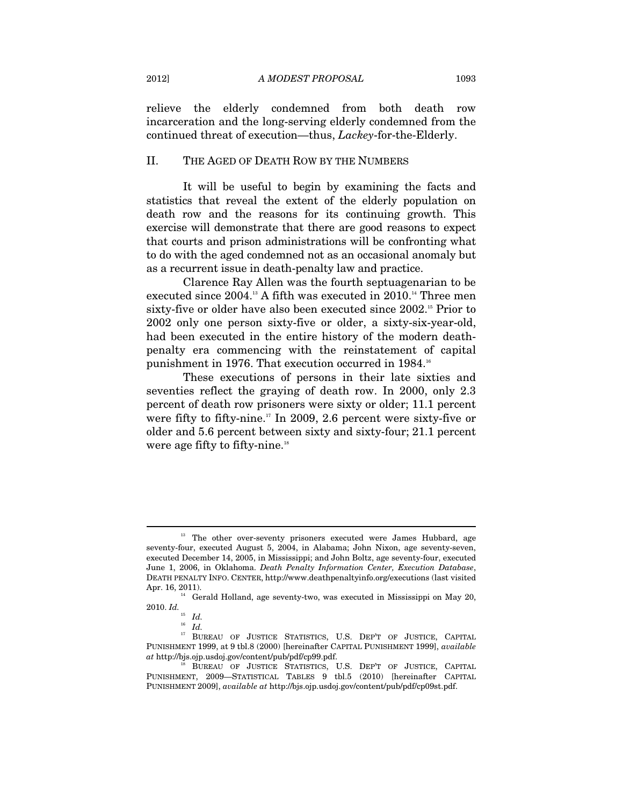relieve the elderly condemned from both death row incarceration and the long-serving elderly condemned from the continued threat of execution—thus, *Lackey*-for-the-Elderly.

#### II. THE AGED OF DEATH ROW BY THE NUMBERS

It will be useful to begin by examining the facts and statistics that reveal the extent of the elderly population on death row and the reasons for its continuing growth. This exercise will demonstrate that there are good reasons to expect that courts and prison administrations will be confronting what to do with the aged condemned not as an occasional anomaly but as a recurrent issue in death-penalty law and practice.

Clarence Ray Allen was the fourth septuagenarian to be executed since 2004.<sup>13</sup> A fifth was executed in 2010.<sup>14</sup> Three men sixty-five or older have also been executed since 2002.<sup>15</sup> Prior to 2002 only one person sixty-five or older, a sixty-six-year-old, had been executed in the entire history of the modern deathpenalty era commencing with the reinstatement of capital punishment in 1976. That execution occurred in 1984.<sup>16</sup>

These executions of persons in their late sixties and seventies reflect the graying of death row. In 2000, only 2.3 percent of death row prisoners were sixty or older; 11.1 percent were fifty to fifty-nine.<sup>17</sup> In 2009, 2.6 percent were sixty-five or older and 5.6 percent between sixty and sixty-four; 21.1 percent were age fifty to fifty-nine.<sup>18</sup>

<sup>&</sup>lt;sup>13</sup> The other over-seventy prisoners executed were James Hubbard, age seventy-four, executed August 5, 2004, in Alabama; John Nixon, age seventy-seven, executed December 14, 2005, in Mississippi; and John Boltz, age seventy-four, executed June 1, 2006, in Oklahoma. *Death Penalty Information Center, Execution Database*, DEATH PENALTY INFO. CENTER, http://www.deathpenaltyinfo.org/executions (last visited Apr. 16, 2011).<br><sup>14</sup> Gerald Holland, age seventy-two, was executed in Mississippi on May 20,

<sup>2010.</sup>  $Id.$ <sup>15</sup>  $Id.$ 

<sup>&</sup>lt;sup>16</sup> *Id.* 2016<br><sup>17</sup> BUREAU OF JUSTICE STATISTICS, U.S. DEP'T OF JUSTICE, CAPITAL PUNISHMENT 1999, at 9 tbl.8 (2000) [hereinafter CAPITAL PUNISHMENT 1999], *available* 

BUREAU OF JUSTICE STATISTICS, U.S. DEP'T OF JUSTICE, CAPITAL PUNISHMENT, 2009—STATISTICAL TABLES 9 tbl.5 (2010) [hereinafter CAPITAL PUNISHMENT 2009], *available at* http://bjs.ojp.usdoj.gov/content/pub/pdf/cp09st.pdf.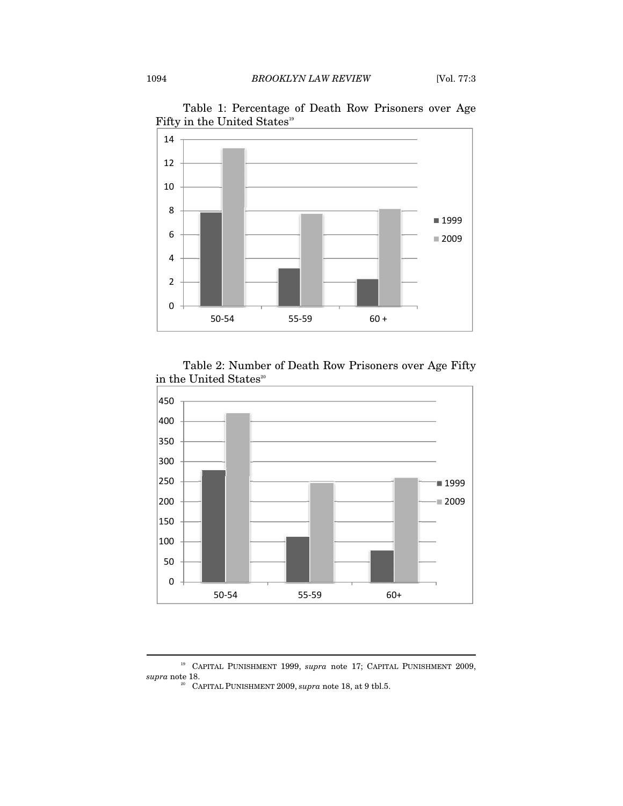

Table 1: Percentage of Death Row Prisoners over Age Fifty in the United States<sup>19</sup>

# Table 2: Number of Death Row Prisoners over Age Fifty in the United States<sup>20</sup>



<sup>19</sup> CAPITAL PUNISHMENT 1999, *supra* note 17; CAPITAL PUNISHMENT 2009,

<sup>&</sup>lt;sup>20</sup> CAPITAL PUNISHMENT 2009, *supra* note 18, at 9 tbl.5.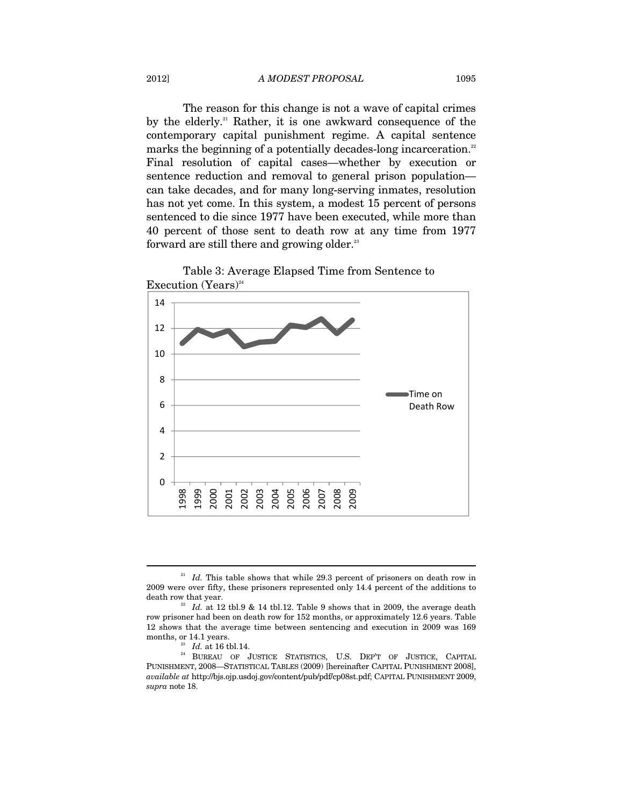The reason for this change is not a wave of capital crimes by the elderly.<sup>21</sup> Rather, it is one awkward consequence of the contemporary capital punishment regime. A capital sentence marks the beginning of a potentially decades-long incarceration.<sup>22</sup> Final resolution of capital cases—whether by execution or sentence reduction and removal to general prison population can take decades, and for many long-serving inmates, resolution has not yet come. In this system, a modest 15 percent of persons sentenced to die since 1977 have been executed, while more than 40 percent of those sent to death row at any time from 1977 forward are still there and growing older.<sup>23</sup>





<sup>&</sup>lt;sup>21</sup> *Id.* This table shows that while 29.3 percent of prisoners on death row in 2009 were over fifty, these prisoners represented only 14.4 percent of the additions to death row that year.  $^{22}$  *Id.* at 12 tbl.9 & 14 tbl.12. Table 9 shows that in 2009, the average death

row prisoner had been on death row for 152 months, or approximately 12.6 years. Table 12 shows that the average time between sentencing and execution in 2009 was 169

months, or 14.1 years. <br><sup>23</sup> *Id.* at 16 tbl.14. <br><sup>24</sup> BUREAU OF JUSTICE STATISTICS, U.S. DEP'T OF JUSTICE, CAPITAL PUNISHMENT, 2008—STATISTICAL TABLES (2009) [hereinafter CAPITAL PUNISHMENT 2008], *available at* http://bjs.ojp.usdoj.gov/content/pub/pdf/cp08st.pdf; CAPITAL PUNISHMENT 2009, *supra* note 18.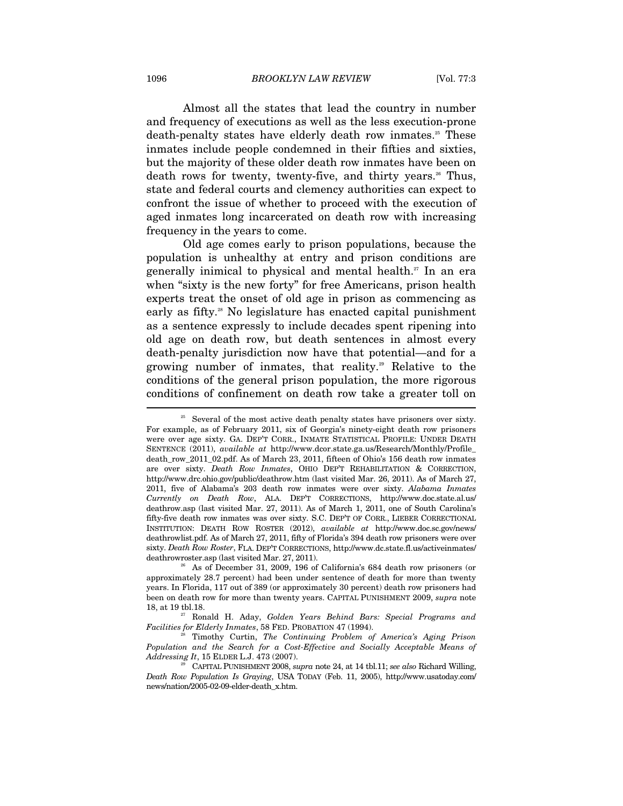Almost all the states that lead the country in number and frequency of executions as well as the less execution-prone death-penalty states have elderly death row inmates.<sup>25</sup> These inmates include people condemned in their fifties and sixties, but the majority of these older death row inmates have been on death rows for twenty, twenty-five, and thirty years.<sup>26</sup> Thus, state and federal courts and clemency authorities can expect to confront the issue of whether to proceed with the execution of aged inmates long incarcerated on death row with increasing frequency in the years to come.

Old age comes early to prison populations, because the population is unhealthy at entry and prison conditions are generally inimical to physical and mental health.<sup>27</sup> In an era when "sixty is the new forty" for free Americans, prison health experts treat the onset of old age in prison as commencing as early as fifty.<sup>28</sup> No legislature has enacted capital punishment as a sentence expressly to include decades spent ripening into old age on death row, but death sentences in almost every death-penalty jurisdiction now have that potential—and for a growing number of inmates, that reality.<sup>29</sup> Relative to the conditions of the general prison population, the more rigorous conditions of confinement on death row take a greater toll on  $\overline{\phantom{a}}$ 

<sup>&</sup>lt;sup>25</sup> Several of the most active death penalty states have prisoners over sixty. For example, as of February 2011, six of Georgia's ninety-eight death row prisoners were over age sixty. GA. DEP'T CORR., INMATE STATISTICAL PROFILE: UNDER DEATH SENTENCE (2011), *available at* http://www.dcor.state.ga.us/Research/Monthly/Profile\_ death\_row\_2011\_02.pdf. As of March 23, 2011, fifteen of Ohio's 156 death row inmates are over sixty. *Death Row Inmates*, OHIO DEP'T REHABILITATION & CORRECTION, http://www.drc.ohio.gov/public/deathrow.htm (last visited Mar. 26, 2011). As of March 27, 2011, five of Alabama's 203 death row inmates were over sixty. *Alabama Inmates Currently on Death Row*, ALA. DEP'T CORRECTIONS, http://www.doc.state.al.us/ deathrow.asp (last visited Mar. 27, 2011). As of March 1, 2011, one of South Carolina's fifty-five death row inmates was over sixty. S.C. DEP'T OF CORR., LIEBER CORRECTIONAL INSTITUTION: DEATH ROW ROSTER (2012), *available at* http://www.doc.sc.gov/news/ deathrowlist.pdf. As of March 27, 2011, fifty of Florida's 394 death row prisoners were over sixty. *Death Row Roster*, FLA. DEP'T CORRECTIONS, http://www.dc.state.fl.us/activeinmates/ deathrowroster.asp (last visited Mar. 27, 2011).<br><sup>26</sup> As of December 31, 2009, 196 of California's 684 death row prisoners (or

approximately 28.7 percent) had been under sentence of death for more than twenty years. In Florida, 117 out of 389 (or approximately 30 percent) death row prisoners had been on death row for more than twenty years. CAPITAL PUNISHMENT 2009, *supra* note

<sup>18,</sup> at 19 tbl.18. 27 Ronald H. Aday, *Golden Years Behind Bars: Special Programs and* 

<sup>&</sup>lt;sup>8</sup> Timothy Curtin, *The Continuing Problem of America's Aging Prison Population and the Search for a Cost-Effective and Socially Acceptable Means of Addressing It*, 15 ELDER L.J. 473 (2007). 29 CAPITAL PUNISHMENT 2008, *supra* note 24, at 14 tbl.11; *see also* Richard Willing,

*Death Row Population Is Graying*, USA TODAY (Feb. 11, 2005), http://www.usatoday.com/ news/nation/2005-02-09-elder-death\_x.htm.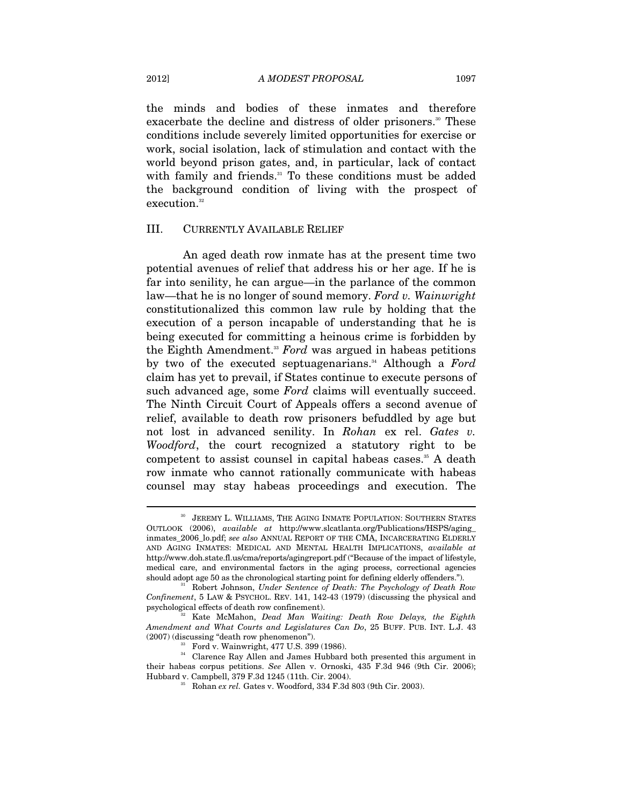the minds and bodies of these inmates and therefore exacerbate the decline and distress of older prisoners.<sup>30</sup> These conditions include severely limited opportunities for exercise or work, social isolation, lack of stimulation and contact with the world beyond prison gates, and, in particular, lack of contact with family and friends.<sup>31</sup> To these conditions must be added the background condition of living with the prospect of execution.<sup>32</sup>

#### III. CURRENTLY AVAILABLE RELIEF

An aged death row inmate has at the present time two potential avenues of relief that address his or her age. If he is far into senility, he can argue—in the parlance of the common law—that he is no longer of sound memory. *Ford v. Wainwright* constitutionalized this common law rule by holding that the execution of a person incapable of understanding that he is being executed for committing a heinous crime is forbidden by the Eighth Amendment.<sup>33</sup> *Ford* was argued in habeas petitions by two of the executed septuagenarians.<sup>34</sup> Although a *Ford* claim has yet to prevail, if States continue to execute persons of such advanced age, some *Ford* claims will eventually succeed. The Ninth Circuit Court of Appeals offers a second avenue of relief, available to death row prisoners befuddled by age but not lost in advanced senility. In *Rohan* ex rel. *Gates v. Woodford*, the court recognized a statutory right to be competent to assist counsel in capital habeas cases.<sup>35</sup> A death row inmate who cannot rationally communicate with habeas counsel may stay habeas proceedings and execution. The

JEREMY L. WILLIAMS, THE AGING INMATE POPULATION: SOUTHERN STATES OUTLOOK (2006), *available at* http://www.slcatlanta.org/Publications/HSPS/aging\_ inmates\_2006\_lo.pdf; *see also* ANNUAL REPORT OF THE CMA, INCARCERATING ELDERLY AND AGING INMATES: MEDICAL AND MENTAL HEALTH IMPLICATIONS, *available at*  http://www.doh.state.fl.us/cma/reports/agingreport.pdf ("Because of the impact of lifestyle, medical care, and environmental factors in the aging process, correctional agencies should adopt age 50 as the chronological starting point for defining elderly offenders."). 31 Robert Johnson, *Under Sentence of Death: The Psychology of Death Row* 

*Confinement*, 5 LAW & PSYCHOL. REV. 141, 142-43 (1979) (discussing the physical and psychological effects of death row confinement). 32 Kate McMahon, *Dead Man Waiting: Death Row Delays, the Eighth* 

*Amendment and What Courts and Legislatures Can Do*, 25 BUFF. PUB. INT. L.J. 43 (2007) (discussing "death row phenomenon").

 $33$  Ford v. Wainwright, 477 U.S. 399 (1986).

<sup>&</sup>lt;sup>34</sup> Clarence Ray Allen and James Hubbard both presented this argument in their habeas corpus petitions. *See* Allen v. Ornoski, 435 F.3d 946 (9th Cir. 2006); Hubbard v. Campbell, 379 F.3d 1245 (11th. Cir. 2004). 35 Rohan *ex rel.* Gates v. Woodford, 334 F.3d 803 (9th Cir. 2003).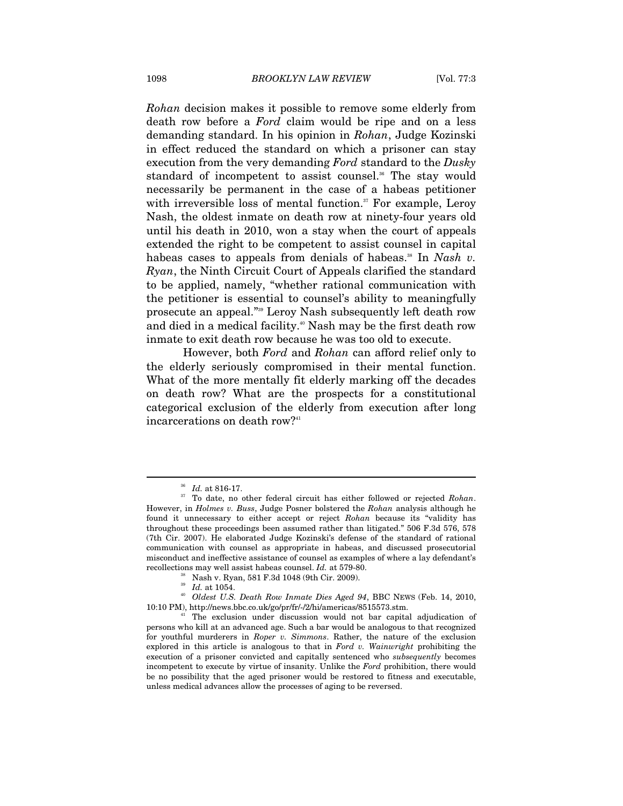*Rohan* decision makes it possible to remove some elderly from death row before a *Ford* claim would be ripe and on a less demanding standard. In his opinion in *Rohan*, Judge Kozinski in effect reduced the standard on which a prisoner can stay execution from the very demanding *Ford* standard to the *Dusky* standard of incompetent to assist counsel.<sup>36</sup> The stay would necessarily be permanent in the case of a habeas petitioner with irreversible loss of mental function.<sup>37</sup> For example, Leroy Nash, the oldest inmate on death row at ninety-four years old until his death in 2010, won a stay when the court of appeals extended the right to be competent to assist counsel in capital habeas cases to appeals from denials of habeas.<sup>38</sup> In *Nash v. Ryan*, the Ninth Circuit Court of Appeals clarified the standard to be applied, namely, "whether rational communication with the petitioner is essential to counsel's ability to meaningfully prosecute an appeal."39 Leroy Nash subsequently left death row and died in a medical facility.<sup>40</sup> Nash may be the first death row inmate to exit death row because he was too old to execute.

However, both *Ford* and *Rohan* can afford relief only to the elderly seriously compromised in their mental function. What of the more mentally fit elderly marking off the decades on death row? What are the prospects for a constitutional categorical exclusion of the elderly from execution after long incarcerations on death row?<sup>41</sup>

<sup>36</sup> *Id.* at 816-17. 37 To date, no other federal circuit has either followed or rejected *Rohan*. However, in *Holmes v. Buss*, Judge Posner bolstered the *Rohan* analysis although he found it unnecessary to either accept or reject *Rohan* because its "validity has throughout these proceedings been assumed rather than litigated." 506 F.3d 576, 578 (7th Cir. 2007). He elaborated Judge Kozinski's defense of the standard of rational communication with counsel as appropriate in habeas, and discussed prosecutorial misconduct and ineffective assistance of counsel as examples of where a lay defendant's recollections may well assist habeas counsel. *Id.* at 579-80.<br><sup>38</sup> Nash v. Ryan, 581 F.3d 1048 (9th Cir. 2009).

<sup>&</sup>lt;sup>39</sup> Id. at 1054.<br><sup>40</sup> Oldest U.S. Death Row Inmate Dies Aged 94, BBC NEWS (Feb. 14, 2010, 10:10 PM), http://news.bbc.co.uk/go/pr/fr/-/2/hi/americas/8515573.stm. 41 The exclusion under discussion would not bar capital adjudication of

persons who kill at an advanced age. Such a bar would be analogous to that recognized for youthful murderers in *Roper v. Simmons*. Rather, the nature of the exclusion explored in this article is analogous to that in *Ford v. Wainwright* prohibiting the execution of a prisoner convicted and capitally sentenced who *subsequently* becomes incompetent to execute by virtue of insanity. Unlike the *Ford* prohibition, there would be no possibility that the aged prisoner would be restored to fitness and executable, unless medical advances allow the processes of aging to be reversed.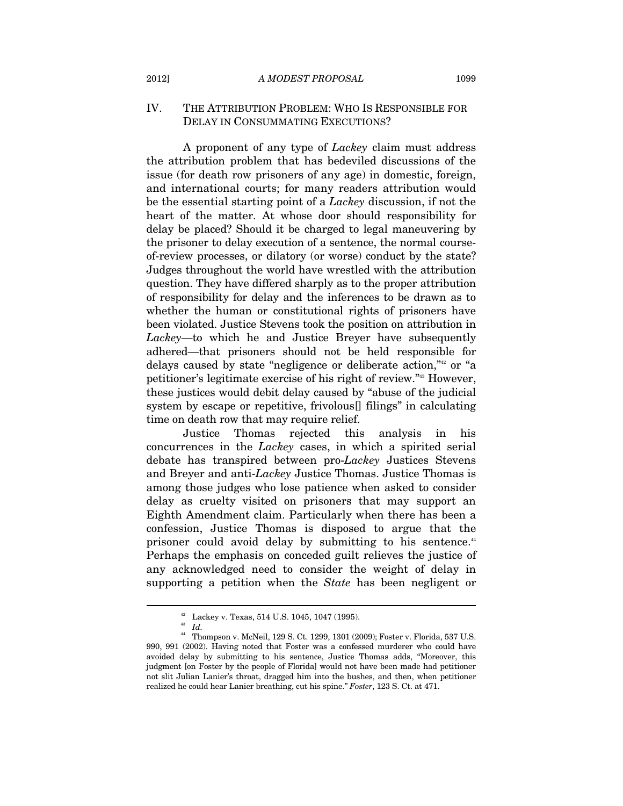#### IV. THE ATTRIBUTION PROBLEM: WHO IS RESPONSIBLE FOR DELAY IN CONSUMMATING EXECUTIONS?

A proponent of any type of *Lackey* claim must address the attribution problem that has bedeviled discussions of the issue (for death row prisoners of any age) in domestic, foreign, and international courts; for many readers attribution would be the essential starting point of a *Lackey* discussion, if not the heart of the matter. At whose door should responsibility for delay be placed? Should it be charged to legal maneuvering by the prisoner to delay execution of a sentence, the normal courseof-review processes, or dilatory (or worse) conduct by the state? Judges throughout the world have wrestled with the attribution question. They have differed sharply as to the proper attribution of responsibility for delay and the inferences to be drawn as to whether the human or constitutional rights of prisoners have been violated. Justice Stevens took the position on attribution in *Lackey*—to which he and Justice Breyer have subsequently adhered—that prisoners should not be held responsible for delays caused by state "negligence or deliberate action,"<sup>42</sup> or "a petitioner's legitimate exercise of his right of review."43 However, these justices would debit delay caused by "abuse of the judicial system by escape or repetitive, frivolous[] filings" in calculating time on death row that may require relief.

Justice Thomas rejected this analysis in his concurrences in the *Lackey* cases, in which a spirited serial debate has transpired between pro-*Lackey* Justices Stevens and Breyer and anti-*Lackey* Justice Thomas. Justice Thomas is among those judges who lose patience when asked to consider delay as cruelty visited on prisoners that may support an Eighth Amendment claim. Particularly when there has been a confession, Justice Thomas is disposed to argue that the prisoner could avoid delay by submitting to his sentence.<sup>44</sup> Perhaps the emphasis on conceded guilt relieves the justice of any acknowledged need to consider the weight of delay in supporting a petition when the *State* has been negligent or

<sup>42</sup> Lackey v. Texas, 514 U.S. 1045, 1047 (1995).

<sup>43</sup> *Id.* 

<sup>44</sup> Thompson v. McNeil, 129 S. Ct. 1299, 1301 (2009); Foster v. Florida, 537 U.S. 990, 991 (2002). Having noted that Foster was a confessed murderer who could have avoided delay by submitting to his sentence, Justice Thomas adds, "Moreover, this judgment [on Foster by the people of Florida] would not have been made had petitioner not slit Julian Lanier's throat, dragged him into the bushes, and then, when petitioner realized he could hear Lanier breathing, cut his spine." *Foster*, 123 S. Ct. at 471.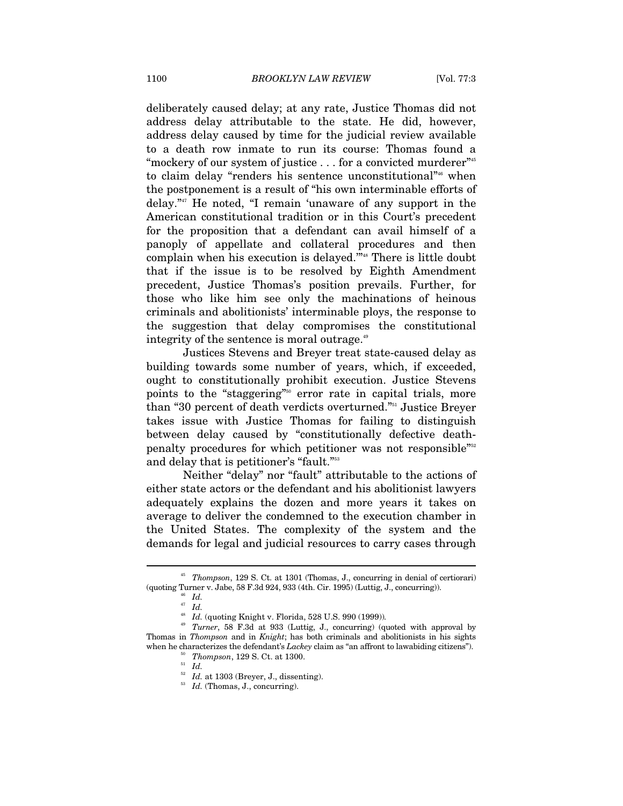deliberately caused delay; at any rate, Justice Thomas did not address delay attributable to the state. He did, however, address delay caused by time for the judicial review available to a death row inmate to run its course: Thomas found a "mockery of our system of justice  $\dots$  for a convicted murderer"<sup>45</sup> to claim delay "renders his sentence unconstitutional"<sup>46</sup> when the postponement is a result of "his own interminable efforts of delay."47 He noted, "I remain 'unaware of any support in the American constitutional tradition or in this Court's precedent for the proposition that a defendant can avail himself of a panoply of appellate and collateral procedures and then complain when his execution is delayed.<sup>"48</sup> There is little doubt that if the issue is to be resolved by Eighth Amendment precedent, Justice Thomas's position prevails. Further, for those who like him see only the machinations of heinous criminals and abolitionists' interminable ploys, the response to the suggestion that delay compromises the constitutional integrity of the sentence is moral outrage.<sup>49</sup>

Justices Stevens and Breyer treat state-caused delay as building towards some number of years, which, if exceeded, ought to constitutionally prohibit execution. Justice Stevens points to the "staggering"50 error rate in capital trials, more than "30 percent of death verdicts overturned."51 Justice Breyer takes issue with Justice Thomas for failing to distinguish between delay caused by "constitutionally defective deathpenalty procedures for which petitioner was not responsible"52 and delay that is petitioner's "fault."<sup>53</sup>

Neither "delay" nor "fault" attributable to the actions of either state actors or the defendant and his abolitionist lawyers adequately explains the dozen and more years it takes on average to deliver the condemned to the execution chamber in the United States. The complexity of the system and the demands for legal and judicial resources to carry cases through

<sup>45</sup> *Thompson*, 129 S. Ct. at 1301 (Thomas, J., concurring in denial of certiorari) (quoting Turner v. Jabe, 58 F.3d 924, 933 (4th. Cir. 1995) (Luttig, J., concurring)). 46 *Id.*

 $\int_{47}^{46}$  *Id.* 

<sup>48</sup> *Id.* (quoting Knight v. Florida, 528 U.S. 990 (1999))*.*

<sup>49</sup> *Turner*, 58 F.3d at 933 (Luttig, J., concurring) (quoted with approval by Thomas in *Thompson* and in *Knight*; has both criminals and abolitionists in his sights when he characterizes the defendant's *Lackey* claim as "an affront to lawabiding citizens"). Thompson, 129 S. Ct. at 1300.  $\frac{51}{Id}$ 

<sup>&</sup>lt;sup>52</sup> *Id.* at 1303 (Breyer, J., dissenting).<br><sup>53</sup> *Id.* (Thomas, J., concurring).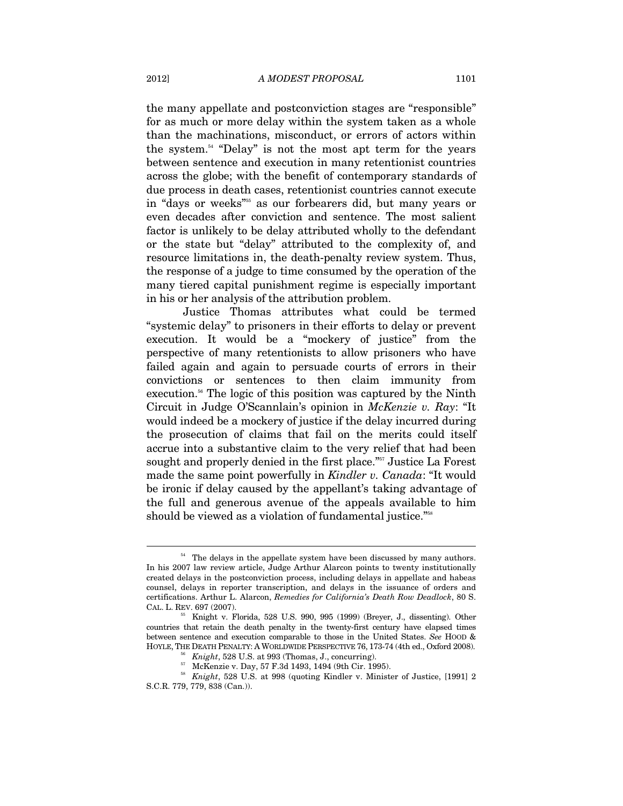the many appellate and postconviction stages are "responsible" for as much or more delay within the system taken as a whole than the machinations, misconduct, or errors of actors within the system.54 "Delay" is not the most apt term for the years between sentence and execution in many retentionist countries across the globe; with the benefit of contemporary standards of due process in death cases, retentionist countries cannot execute in "days or weeks"<sup>55</sup> as our forbearers did, but many years or even decades after conviction and sentence. The most salient factor is unlikely to be delay attributed wholly to the defendant or the state but "delay" attributed to the complexity of, and resource limitations in, the death-penalty review system. Thus, the response of a judge to time consumed by the operation of the many tiered capital punishment regime is especially important in his or her analysis of the attribution problem.

Justice Thomas attributes what could be termed "systemic delay" to prisoners in their efforts to delay or prevent execution. It would be a "mockery of justice" from the perspective of many retentionists to allow prisoners who have failed again and again to persuade courts of errors in their convictions or sentences to then claim immunity from execution.<sup>56</sup> The logic of this position was captured by the Ninth Circuit in Judge O'Scannlain's opinion in *McKenzie v. Ray*: "It would indeed be a mockery of justice if the delay incurred during the prosecution of claims that fail on the merits could itself accrue into a substantive claim to the very relief that had been sought and properly denied in the first place."<sup>557</sup> Justice La Forest made the same point powerfully in *Kindler v. Canada*: "It would be ironic if delay caused by the appellant's taking advantage of the full and generous avenue of the appeals available to him should be viewed as a violation of fundamental justice."<sup>58</sup>

<sup>&</sup>lt;sup>54</sup> The delays in the appellate system have been discussed by many authors. In his 2007 law review article, Judge Arthur Alarcon points to twenty institutionally created delays in the postconviction process, including delays in appellate and habeas counsel, delays in reporter transcription, and delays in the issuance of orders and certifications. Arthur L. Alarcon, *Remedies for California's Death Row Deadlock*, 80 S. CAL. L. REV. 697 (2007). 55 Knight v. Florida, 528 U.S. 990, 995 (1999) (Breyer, J., dissenting). Other

countries that retain the death penalty in the twenty-first century have elapsed times between sentence and execution comparable to those in the United States. *See* HOOD & HOYLE, THE DEATH PENALTY: A WORLDWIDE PERSPECTIVE 76, 173-74 (4th ed., Oxford 2008). <sup>56</sup> Knight, 528 U.S. at 993 (Thomas, J., concurring). 57 McKenzie v. Day, 57 F.3d 1493, 1494 (9th Cir. 1995).

<sup>58</sup> *Knight*, 528 U.S. at 998 (quoting Kindler v. Minister of Justice, [1991] 2 S.C.R. 779, 779, 838 (Can.)).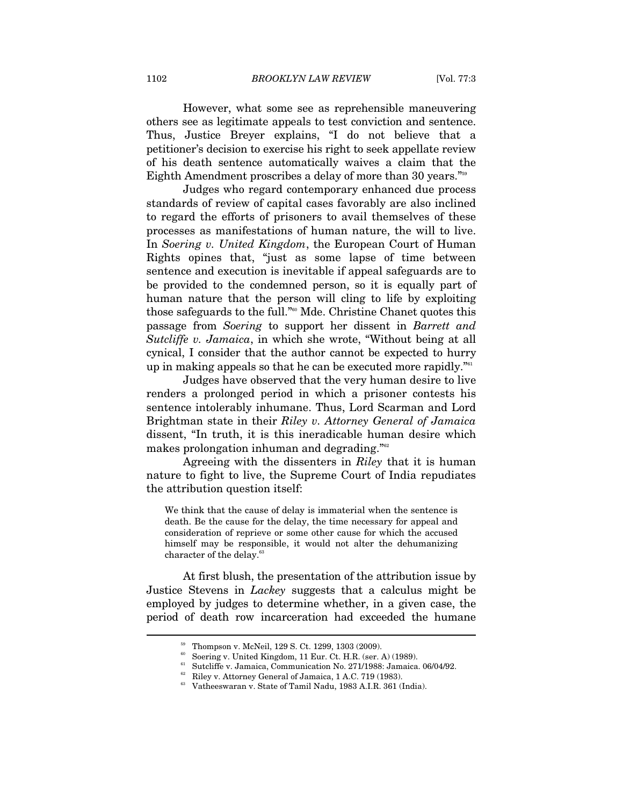1102 *BROOKLYN LAW REVIEW* [Vol. 77:3

However, what some see as reprehensible maneuvering others see as legitimate appeals to test conviction and sentence. Thus, Justice Breyer explains, "I do not believe that a petitioner's decision to exercise his right to seek appellate review of his death sentence automatically waives a claim that the Eighth Amendment proscribes a delay of more than 30 years."59

Judges who regard contemporary enhanced due process standards of review of capital cases favorably are also inclined to regard the efforts of prisoners to avail themselves of these processes as manifestations of human nature, the will to live. In *Soering v. United Kingdom*, the European Court of Human Rights opines that, "just as some lapse of time between sentence and execution is inevitable if appeal safeguards are to be provided to the condemned person, so it is equally part of human nature that the person will cling to life by exploiting those safeguards to the full."60 Mde. Christine Chanet quotes this passage from *Soering* to support her dissent in *Barrett and Sutcliffe v. Jamaica*, in which she wrote, "Without being at all cynical, I consider that the author cannot be expected to hurry up in making appeals so that he can be executed more rapidly."<sup>61</sup>

Judges have observed that the very human desire to live renders a prolonged period in which a prisoner contests his sentence intolerably inhumane. Thus, Lord Scarman and Lord Brightman state in their *Riley v. Attorney General of Jamaica*  dissent, "In truth, it is this ineradicable human desire which makes prolongation inhuman and degrading."62

Agreeing with the dissenters in *Riley* that it is human nature to fight to live, the Supreme Court of India repudiates the attribution question itself:

We think that the cause of delay is immaterial when the sentence is death. Be the cause for the delay, the time necessary for appeal and consideration of reprieve or some other cause for which the accused himself may be responsible, it would not alter the dehumanizing character of the delay.<sup>63</sup>

At first blush, the presentation of the attribution issue by Justice Stevens in *Lackey* suggests that a calculus might be employed by judges to determine whether, in a given case, the period of death row incarceration had exceeded the humane

<sup>59</sup> Thompson v. McNeil, 129 S. Ct. 1299, 1303 (2009).

Soering v. United Kingdom, 11 Eur. Ct. H.R. (ser. A) (1989).

 $^{61}$  Sutcliffe v. Jamaica, Communication No. 271/1988: Jamaica. 06/04/92.

<sup>&</sup>lt;sup>62</sup> Riley v. Attorney General of Jamaica, 1 A.C. 719 (1983).

<sup>63</sup> Vatheeswaran v. State of Tamil Nadu, 1983 A.I.R. 361 (India).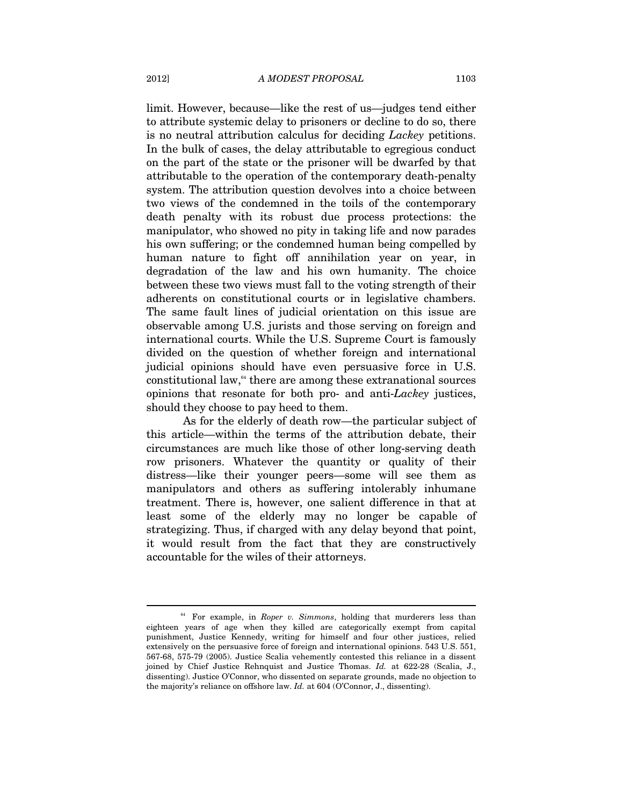limit. However, because—like the rest of us—judges tend either to attribute systemic delay to prisoners or decline to do so, there is no neutral attribution calculus for deciding *Lackey* petitions. In the bulk of cases, the delay attributable to egregious conduct on the part of the state or the prisoner will be dwarfed by that attributable to the operation of the contemporary death-penalty system. The attribution question devolves into a choice between two views of the condemned in the toils of the contemporary death penalty with its robust due process protections: the manipulator, who showed no pity in taking life and now parades his own suffering; or the condemned human being compelled by human nature to fight off annihilation year on year, in degradation of the law and his own humanity. The choice between these two views must fall to the voting strength of their adherents on constitutional courts or in legislative chambers. The same fault lines of judicial orientation on this issue are observable among U.S. jurists and those serving on foreign and international courts. While the U.S. Supreme Court is famously divided on the question of whether foreign and international judicial opinions should have even persuasive force in U.S. constitutional law, $64$  there are among these extranational sources opinions that resonate for both pro- and anti-*Lackey* justices, should they choose to pay heed to them.

As for the elderly of death row—the particular subject of this article—within the terms of the attribution debate, their circumstances are much like those of other long-serving death row prisoners. Whatever the quantity or quality of their distress—like their younger peers—some will see them as manipulators and others as suffering intolerably inhumane treatment. There is, however, one salient difference in that at least some of the elderly may no longer be capable of strategizing. Thus, if charged with any delay beyond that point, it would result from the fact that they are constructively accountable for the wiles of their attorneys.

<sup>&</sup>lt;sup>64</sup> For example, in *Roper v. Simmons*, holding that murderers less than eighteen years of age when they killed are categorically exempt from capital punishment, Justice Kennedy, writing for himself and four other justices, relied extensively on the persuasive force of foreign and international opinions. 543 U.S. 551, 567-68, 575-79 (2005). Justice Scalia vehemently contested this reliance in a dissent joined by Chief Justice Rehnquist and Justice Thomas. *Id.* at 622-28 (Scalia, J., dissenting). Justice O'Connor, who dissented on separate grounds, made no objection to the majority's reliance on offshore law. *Id.* at 604 (O'Connor, J., dissenting).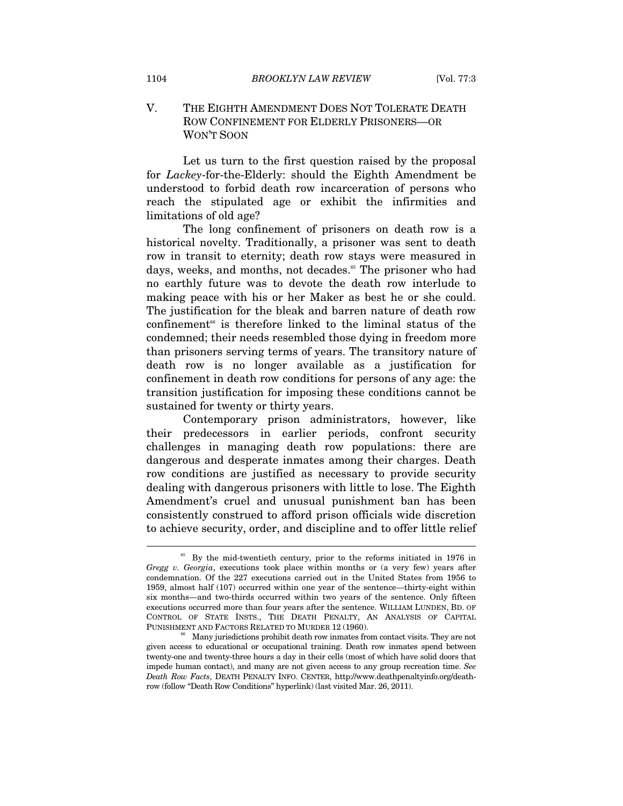#### V. THE EIGHTH AMENDMENT DOES NOT TOLERATE DEATH ROW CONFINEMENT FOR ELDERLY PRISONERS—OR WON'T SOON

Let us turn to the first question raised by the proposal for *Lackey*-for-the-Elderly: should the Eighth Amendment be understood to forbid death row incarceration of persons who reach the stipulated age or exhibit the infirmities and limitations of old age?

The long confinement of prisoners on death row is a historical novelty. Traditionally, a prisoner was sent to death row in transit to eternity; death row stays were measured in days, weeks, and months, not decades.<sup>65</sup> The prisoner who had no earthly future was to devote the death row interlude to making peace with his or her Maker as best he or she could. The justification for the bleak and barren nature of death row  $confinement$ <sup>66</sup> is therefore linked to the liminal status of the condemned; their needs resembled those dying in freedom more than prisoners serving terms of years. The transitory nature of death row is no longer available as a justification for confinement in death row conditions for persons of any age: the transition justification for imposing these conditions cannot be sustained for twenty or thirty years.

Contemporary prison administrators, however, like their predecessors in earlier periods, confront security challenges in managing death row populations: there are dangerous and desperate inmates among their charges. Death row conditions are justified as necessary to provide security dealing with dangerous prisoners with little to lose. The Eighth Amendment's cruel and unusual punishment ban has been consistently construed to afford prison officials wide discretion to achieve security, order, and discipline and to offer little relief

<sup>&</sup>lt;sup>65</sup> By the mid-twentieth century, prior to the reforms initiated in 1976 in *Gregg v. Georgia*, executions took place within months or (a very few) years after condemnation. Of the 227 executions carried out in the United States from 1956 to 1959, almost half (107) occurred within one year of the sentence—thirty-eight within six months—and two-thirds occurred within two years of the sentence. Only fifteen executions occurred more than four years after the sentence. WILLIAM LUNDEN, BD. OF CONTROL OF STATE INSTS., THE DEATH PENALTY, AN ANALYSIS OF CAPITAL PUNISHMENT AND FACTORS RELATED TO MURDER 12 (1960).

 $66$  Many jurisdictions prohibit death row inmates from contact visits. They are not given access to educational or occupational training. Death row inmates spend between twenty-one and twenty-three hours a day in their cells (most of which have solid doors that impede human contact), and many are not given access to any group recreation time. *See Death Row Facts*, DEATH PENALTY INFO. CENTER, http://www.deathpenaltyinfo.org/deathrow (follow "Death Row Conditions" hyperlink) (last visited Mar. 26, 2011).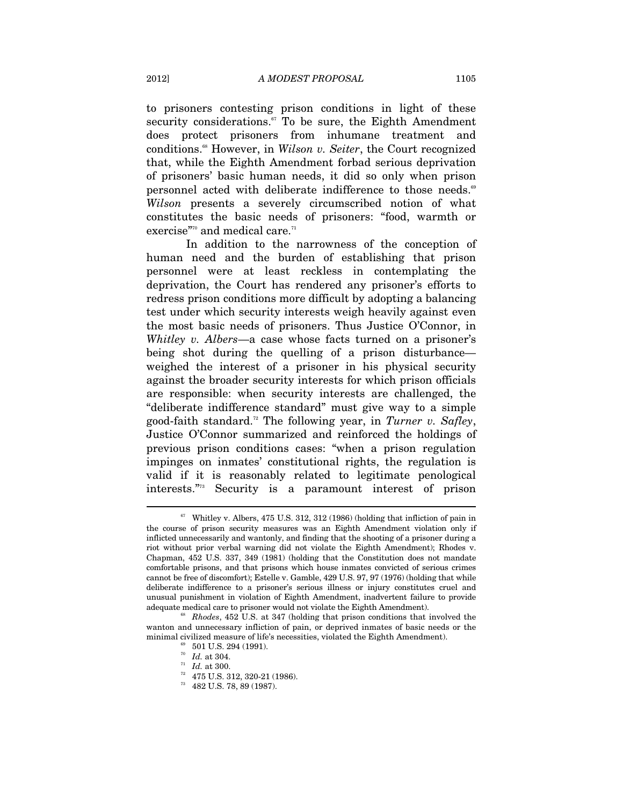to prisoners contesting prison conditions in light of these security considerations. $57$  To be sure, the Eighth Amendment does protect prisoners from inhumane treatment and conditions.68 However, in *Wilson v. Seiter*, the Court recognized that, while the Eighth Amendment forbad serious deprivation of prisoners' basic human needs, it did so only when prison personnel acted with deliberate indifference to those needs.<sup>69</sup> *Wilson* presents a severely circumscribed notion of what constitutes the basic needs of prisoners: "food, warmth or exercise"<sup>70</sup> and medical care.<sup>71</sup>

 In addition to the narrowness of the conception of human need and the burden of establishing that prison personnel were at least reckless in contemplating the deprivation, the Court has rendered any prisoner's efforts to redress prison conditions more difficult by adopting a balancing test under which security interests weigh heavily against even the most basic needs of prisoners. Thus Justice O'Connor, in *Whitley v. Albers*—a case whose facts turned on a prisoner's being shot during the quelling of a prison disturbance weighed the interest of a prisoner in his physical security against the broader security interests for which prison officials are responsible: when security interests are challenged, the "deliberate indifference standard" must give way to a simple good-faith standard.72 The following year, in *Turner v. Safley*, Justice O'Connor summarized and reinforced the holdings of previous prison conditions cases: "when a prison regulation impinges on inmates' constitutional rights, the regulation is valid if it is reasonably related to legitimate penological interests."73 Security is a paramount interest of prison

 $^{\mathrm{67}}\,$  Whitley v. Albers, 475 U.S. 312, 312 (1986) (holding that infliction of pain in the course of prison security measures was an Eighth Amendment violation only if inflicted unnecessarily and wantonly, and finding that the shooting of a prisoner during a riot without prior verbal warning did not violate the Eighth Amendment); Rhodes v. Chapman, 452 U.S. 337, 349 (1981) (holding that the Constitution does not mandate comfortable prisons, and that prisons which house inmates convicted of serious crimes cannot be free of discomfort); Estelle v. Gamble, 429 U.S. 97, 97 (1976) (holding that while deliberate indifference to a prisoner's serious illness or injury constitutes cruel and unusual punishment in violation of Eighth Amendment, inadvertent failure to provide adequate medical care to prisoner would not violate the Eighth Amendment). 68 *Rhodes*, 452 U.S. at 347 (holding that prison conditions that involved the

wanton and unnecessary infliction of pain, or deprived inmates of basic needs or the minimal civilized measure of life's necessities, violated the Eighth Amendment).<br><sup>69</sup> 501 U.S. 294 (1991).<br><sup>70</sup> *Id.* at 304.<br><sup>71</sup> *Id.* at 300.<br>475 U.S. 312, 320-21 (1986).<br><sup>73</sup> 482 U.S. 78, 89 (1987).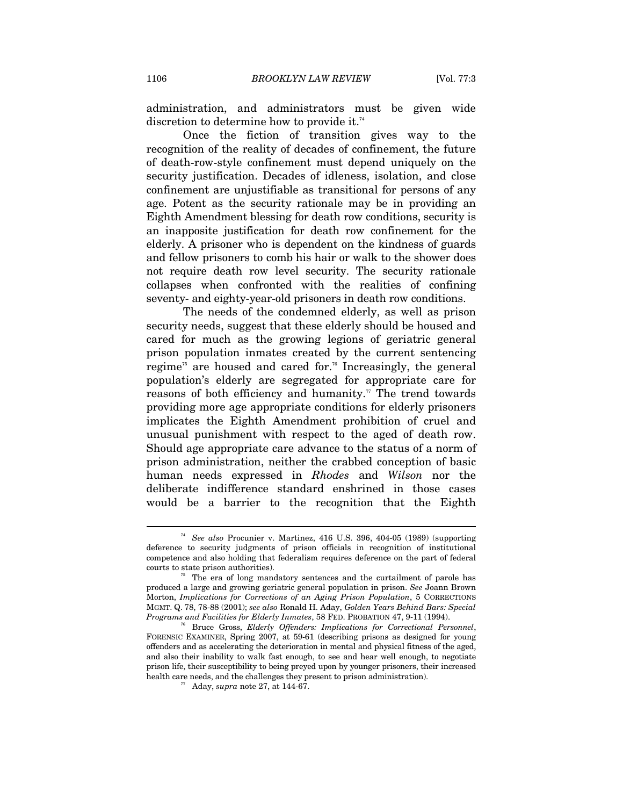administration, and administrators must be given wide discretion to determine how to provide it.<sup>74</sup>

Once the fiction of transition gives way to the recognition of the reality of decades of confinement, the future of death-row-style confinement must depend uniquely on the security justification. Decades of idleness, isolation, and close confinement are unjustifiable as transitional for persons of any age. Potent as the security rationale may be in providing an Eighth Amendment blessing for death row conditions, security is an inapposite justification for death row confinement for the elderly. A prisoner who is dependent on the kindness of guards and fellow prisoners to comb his hair or walk to the shower does not require death row level security. The security rationale collapses when confronted with the realities of confining seventy- and eighty-year-old prisoners in death row conditions.

The needs of the condemned elderly, as well as prison security needs, suggest that these elderly should be housed and cared for much as the growing legions of geriatric general prison population inmates created by the current sentencing regime<sup>75</sup> are housed and cared for.<sup>76</sup> Increasingly, the general population's elderly are segregated for appropriate care for reasons of both efficiency and humanity. $\pi$  The trend towards providing more age appropriate conditions for elderly prisoners implicates the Eighth Amendment prohibition of cruel and unusual punishment with respect to the aged of death row. Should age appropriate care advance to the status of a norm of prison administration, neither the crabbed conception of basic human needs expressed in *Rhodes* and *Wilson* nor the deliberate indifference standard enshrined in those cases would be a barrier to the recognition that the Eighth

<sup>74</sup> *See also* Procunier v. Martinez, 416 U.S. 396, 404-05 (1989) (supporting deference to security judgments of prison officials in recognition of institutional competence and also holding that federalism requires deference on the part of federal courts to state prison authorities). 75 The era of long mandatory sentences and the curtailment of parole has

produced a large and growing geriatric general population in prison. *See* Joann Brown Morton, *Implications for Corrections of an Aging Prison Population*, 5 CORRECTIONS MGMT. Q. 78, 78-88 (2001); *see also* Ronald H. Aday, *Golden Years Behind Bars: Special Programs and Facilities for Elderly Inmates*, 58 FED. PROBATION 47, 9-11 (1994).<br><sup>76</sup> Bruce Gross, *Elderly Offenders: Implications for Correctional Personnel*,

FORENSIC EXAMINER, Spring 2007, at 59-61 (describing prisons as designed for young offenders and as accelerating the deterioration in mental and physical fitness of the aged, and also their inability to walk fast enough, to see and hear well enough, to negotiate prison life, their susceptibility to being preyed upon by younger prisoners, their increased health care needs, and the challenges they present to prison administration).  $77$  Aday, *supra* note 27, at 144-67.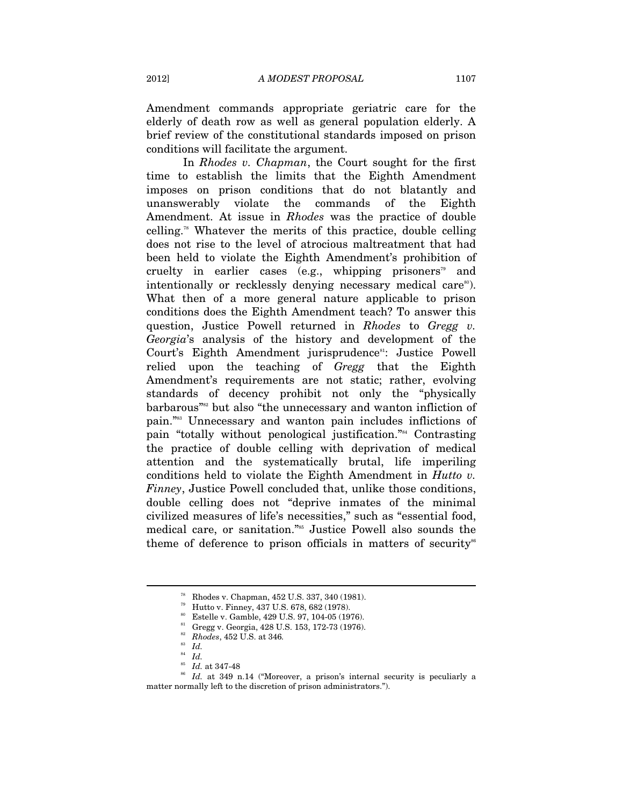Amendment commands appropriate geriatric care for the elderly of death row as well as general population elderly. A brief review of the constitutional standards imposed on prison conditions will facilitate the argument.

In *Rhodes v. Chapman*, the Court sought for the first time to establish the limits that the Eighth Amendment imposes on prison conditions that do not blatantly and unanswerably violate the commands of the Eighth Amendment. At issue in *Rhodes* was the practice of double celling.<sup>78</sup> Whatever the merits of this practice, double celling does not rise to the level of atrocious maltreatment that had been held to violate the Eighth Amendment's prohibition of cruelty in earlier cases (e.g., whipping prisoners<sup>79</sup> and intentionally or recklessly denying necessary medical care<sup>80</sup>). What then of a more general nature applicable to prison conditions does the Eighth Amendment teach? To answer this question, Justice Powell returned in *Rhodes* to *Gregg v. Georgia*'s analysis of the history and development of the Court's Eighth Amendment jurisprudence<sup>81</sup>: Justice Powell relied upon the teaching of *Gregg* that the Eighth Amendment's requirements are not static; rather, evolving standards of decency prohibit not only the "physically barbarous"<sup>882</sup> but also "the unnecessary and wanton infliction of pain."83 Unnecessary and wanton pain includes inflictions of pain "totally without penological justification."84 Contrasting the practice of double celling with deprivation of medical attention and the systematically brutal, life imperiling conditions held to violate the Eighth Amendment in *Hutto v. Finney*, Justice Powell concluded that, unlike those conditions, double celling does not "deprive inmates of the minimal civilized measures of life's necessities," such as "essential food, medical care, or sanitation."<sup>85</sup> Justice Powell also sounds the theme of deference to prison officials in matters of security<sup>86</sup>

 $^{78}$  Rhodes v. Chapman, 452 U.S. 337, 340 (1981). Hutto v. Finney, 437 U.S. 678, 682 (1978).

<sup>&</sup>lt;sup>80</sup> Estelle v. Gamble, 429 U.S. 97, 104-05 (1976).

<sup>81</sup> Gregg v. Georgia, 428 U.S. 153, 172-73 (1976).

<sup>&</sup>lt;sup>82</sup> *Rhodes*, 452 U.S. at 346.

<sup>&</sup>lt;sup>83</sup> Id.<br><sup>84</sup> Id.<br><sup>85</sup> Id. at 347-48<br><sup>86</sup> Id. at 349 n.14 ("Moreover, a prison's internal security is peculiarly a matter normally left to the discretion of prison administrators.").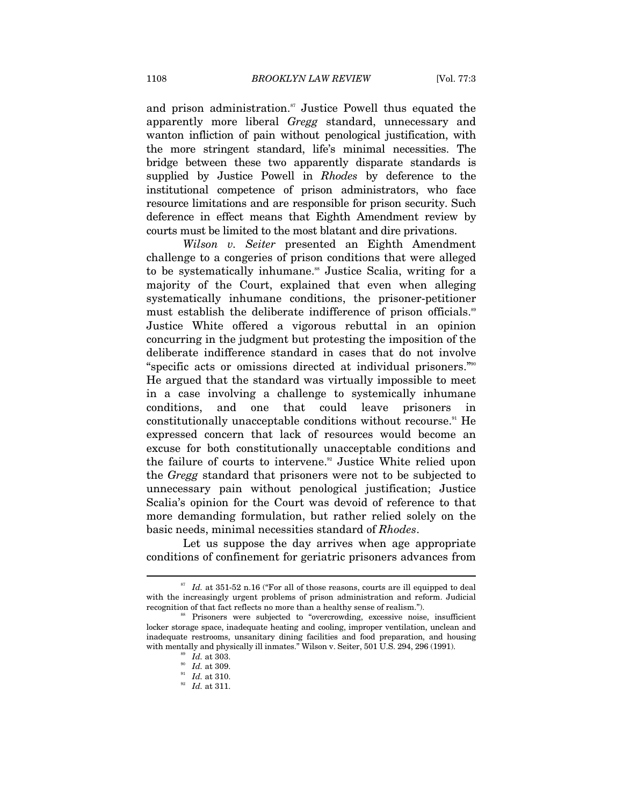and prison administration.<sup>87</sup> Justice Powell thus equated the apparently more liberal *Gregg* standard, unnecessary and wanton infliction of pain without penological justification, with the more stringent standard, life's minimal necessities. The bridge between these two apparently disparate standards is supplied by Justice Powell in *Rhodes* by deference to the institutional competence of prison administrators, who face resource limitations and are responsible for prison security. Such deference in effect means that Eighth Amendment review by courts must be limited to the most blatant and dire privations.

*Wilson v. Seiter* presented an Eighth Amendment challenge to a congeries of prison conditions that were alleged to be systematically inhumane.<sup>88</sup> Justice Scalia, writing for a majority of the Court, explained that even when alleging systematically inhumane conditions, the prisoner-petitioner must establish the deliberate indifference of prison officials.<sup>89</sup> Justice White offered a vigorous rebuttal in an opinion concurring in the judgment but protesting the imposition of the deliberate indifference standard in cases that do not involve "specific acts or omissions directed at individual prisoners."90 He argued that the standard was virtually impossible to meet in a case involving a challenge to systemically inhumane conditions, and one that could leave prisoners in constitutionally unacceptable conditions without recourse.<sup>91</sup> He expressed concern that lack of resources would become an excuse for both constitutionally unacceptable conditions and the failure of courts to intervene.<sup>92</sup> Justice White relied upon the *Gregg* standard that prisoners were not to be subjected to unnecessary pain without penological justification; Justice Scalia's opinion for the Court was devoid of reference to that more demanding formulation, but rather relied solely on the basic needs, minimal necessities standard of *Rhodes*.

Let us suppose the day arrives when age appropriate conditions of confinement for geriatric prisoners advances from

<sup>&</sup>lt;sup>87</sup> Id. at 351-52 n.16 ("For all of those reasons, courts are ill equipped to deal with the increasingly urgent problems of prison administration and reform. Judicial recognition of that fact reflects no more than a healthy sense of realism.").<br><sup>88</sup> Prisoners were subjected to "overcrowding, excessive noise, insufficient

locker storage space, inadequate heating and cooling, improper ventilation, unclean and inadequate restrooms, unsanitary dining facilities and food preparation, and housing with mentally and physically ill inmates." Wilson v. Seiter, 501 U.S. 294, 296 (1991).<br><sup>89</sup> *Id.* at 303.<br><sup>91</sup> *Id.* at 310.<br>*B<sub>2</sub> Id.* at 311.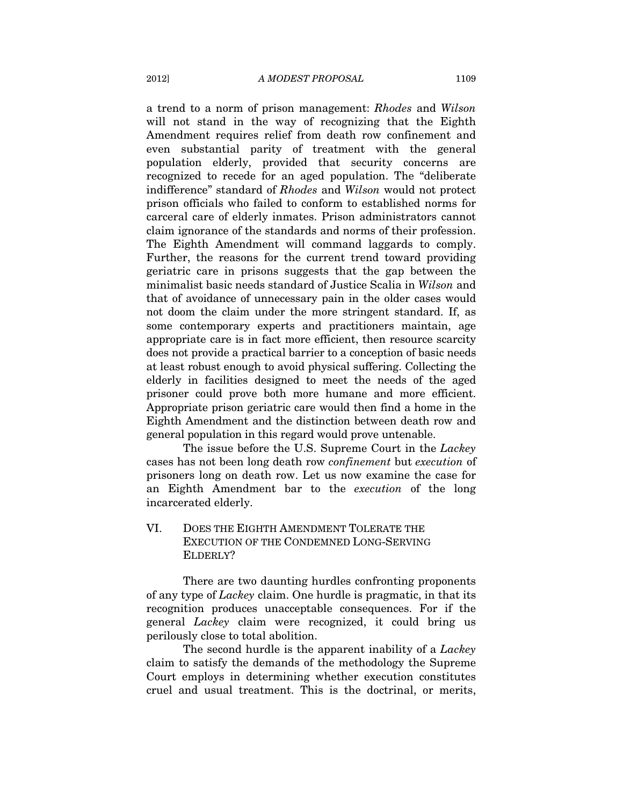a trend to a norm of prison management: *Rhodes* and *Wilson* will not stand in the way of recognizing that the Eighth Amendment requires relief from death row confinement and even substantial parity of treatment with the general population elderly, provided that security concerns are recognized to recede for an aged population. The "deliberate indifference" standard of *Rhodes* and *Wilson* would not protect prison officials who failed to conform to established norms for carceral care of elderly inmates. Prison administrators cannot claim ignorance of the standards and norms of their profession. The Eighth Amendment will command laggards to comply. Further, the reasons for the current trend toward providing geriatric care in prisons suggests that the gap between the minimalist basic needs standard of Justice Scalia in *Wilson* and that of avoidance of unnecessary pain in the older cases would not doom the claim under the more stringent standard. If, as some contemporary experts and practitioners maintain, age appropriate care is in fact more efficient, then resource scarcity does not provide a practical barrier to a conception of basic needs at least robust enough to avoid physical suffering. Collecting the elderly in facilities designed to meet the needs of the aged prisoner could prove both more humane and more efficient. Appropriate prison geriatric care would then find a home in the Eighth Amendment and the distinction between death row and general population in this regard would prove untenable.

The issue before the U.S. Supreme Court in the *Lackey* cases has not been long death row *confinement* but *execution* of prisoners long on death row. Let us now examine the case for an Eighth Amendment bar to the *execution* of the long incarcerated elderly.

# VI. DOES THE EIGHTH AMENDMENT TOLERATE THE EXECUTION OF THE CONDEMNED LONG-SERVING ELDERLY?

There are two daunting hurdles confronting proponents of any type of *Lackey* claim. One hurdle is pragmatic, in that its recognition produces unacceptable consequences. For if the general *Lackey* claim were recognized, it could bring us perilously close to total abolition.

The second hurdle is the apparent inability of a *Lackey* claim to satisfy the demands of the methodology the Supreme Court employs in determining whether execution constitutes cruel and usual treatment. This is the doctrinal, or merits,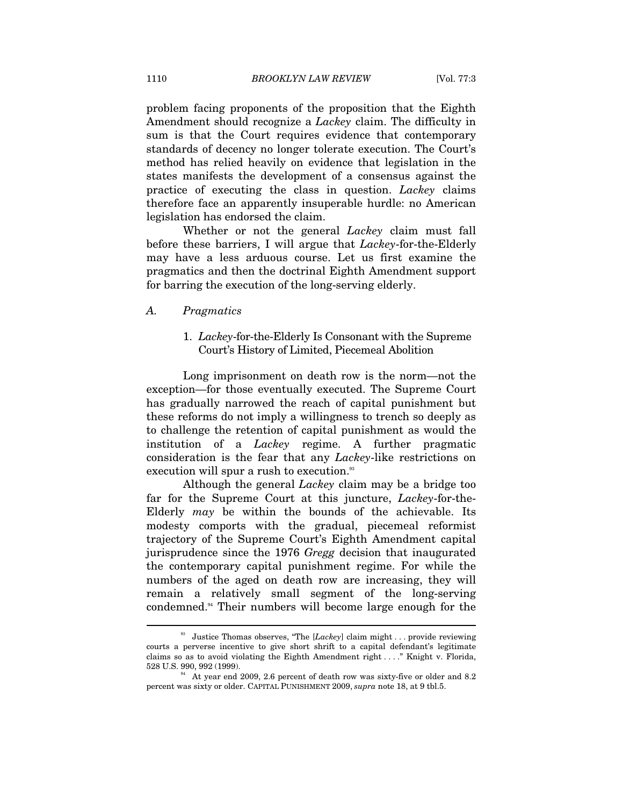problem facing proponents of the proposition that the Eighth Amendment should recognize a *Lackey* claim. The difficulty in sum is that the Court requires evidence that contemporary standards of decency no longer tolerate execution. The Court's method has relied heavily on evidence that legislation in the states manifests the development of a consensus against the practice of executing the class in question. *Lackey* claims therefore face an apparently insuperable hurdle: no American legislation has endorsed the claim.

Whether or not the general *Lackey* claim must fall before these barriers, I will argue that *Lackey*-for-the-Elderly may have a less arduous course. Let us first examine the pragmatics and then the doctrinal Eighth Amendment support for barring the execution of the long-serving elderly.

#### *A. Pragmatics*

 $\overline{a}$ 

#### 1. *Lackey*-for-the-Elderly Is Consonant with the Supreme Court's History of Limited, Piecemeal Abolition

Long imprisonment on death row is the norm—not the exception—for those eventually executed. The Supreme Court has gradually narrowed the reach of capital punishment but these reforms do not imply a willingness to trench so deeply as to challenge the retention of capital punishment as would the institution of a *Lackey* regime. A further pragmatic consideration is the fear that any *Lackey*-like restrictions on execution will spur a rush to execution.<sup>33</sup>

Although the general *Lackey* claim may be a bridge too far for the Supreme Court at this juncture, *Lackey*-for-the-Elderly *may* be within the bounds of the achievable. Its modesty comports with the gradual, piecemeal reformist trajectory of the Supreme Court's Eighth Amendment capital jurisprudence since the 1976 *Gregg* decision that inaugurated the contemporary capital punishment regime. For while the numbers of the aged on death row are increasing, they will remain a relatively small segment of the long-serving condemned.94 Their numbers will become large enough for the

<sup>93</sup> Justice Thomas observes, "The [*Lackey*] claim might . . . provide reviewing courts a perverse incentive to give short shrift to a capital defendant's legitimate claims so as to avoid violating the Eighth Amendment right . . . ." Knight v. Florida,  $528 \text{ U.S. } 990, 992 \text{ (1999)}$ .

 $54$  At year end 2009, 2.6 percent of death row was sixty-five or older and 8.2 percent was sixty or older. CAPITAL PUNISHMENT 2009, *supra* note 18, at 9 tbl.5.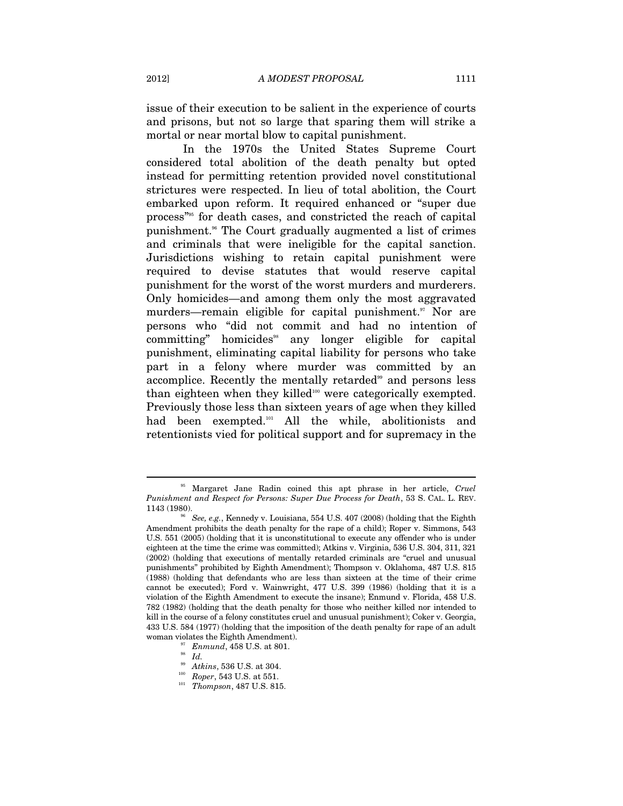issue of their execution to be salient in the experience of courts and prisons, but not so large that sparing them will strike a mortal or near mortal blow to capital punishment.

In the 1970s the United States Supreme Court considered total abolition of the death penalty but opted instead for permitting retention provided novel constitutional strictures were respected. In lieu of total abolition, the Court embarked upon reform. It required enhanced or "super due process"95 for death cases, and constricted the reach of capital punishment.96 The Court gradually augmented a list of crimes and criminals that were ineligible for the capital sanction. Jurisdictions wishing to retain capital punishment were required to devise statutes that would reserve capital punishment for the worst of the worst murders and murderers. Only homicides—and among them only the most aggravated murders—remain eligible for capital punishment.<sup>97</sup> Nor are persons who "did not commit and had no intention of  $committing"$  homicides<sup>38</sup> any longer eligible for capital punishment, eliminating capital liability for persons who take part in a felony where murder was committed by an accomplice. Recently the mentally retarded<sup>99</sup> and persons less than eighteen when they killed<sup>100</sup> were categorically exempted. Previously those less than sixteen years of age when they killed had been exempted.101 All the while, abolitionists and retentionists vied for political support and for supremacy in the

<sup>95</sup> Margaret Jane Radin coined this apt phrase in her article, *Cruel Punishment and Respect for Persons: Super Due Process for Death*, 53 S. CAL. L. REV.

<sup>1143 (1980). 96</sup> *See, e.g.*, Kennedy v. Louisiana, 554 U.S. 407 (2008) (holding that the Eighth Amendment prohibits the death penalty for the rape of a child); Roper v. Simmons, 543 U.S. 551 (2005) (holding that it is unconstitutional to execute any offender who is under eighteen at the time the crime was committed); Atkins v. Virginia, 536 U.S. 304, 311, 321 (2002) (holding that executions of mentally retarded criminals are "cruel and unusual punishments" prohibited by Eighth Amendment); Thompson v. Oklahoma, 487 U.S. 815 (1988) (holding that defendants who are less than sixteen at the time of their crime cannot be executed); Ford v. Wainwright, 477 U.S. 399 (1986) (holding that it is a violation of the Eighth Amendment to execute the insane); Enmund v. Florida, 458 U.S. 782 (1982) (holding that the death penalty for those who neither killed nor intended to kill in the course of a felony constitutes cruel and unusual punishment); Coker v. Georgia, 433 U.S. 584 (1977) (holding that the imposition of the death penalty for rape of an adult woman violates the Eighth Amendment).<br><sup>97</sup> Enmund, 458 U.S. at 801.<br><sup>98</sup> Atkins, 536 U.S. at 304.

<sup>100</sup> *Roper*, 543 U.S. at 551. 101 *Thompson*, 487 U.S. 815.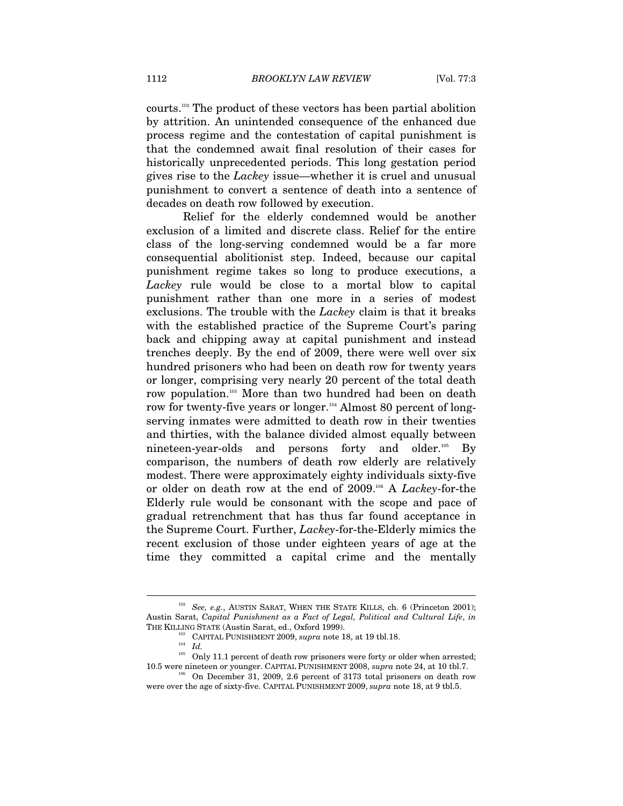courts.102 The product of these vectors has been partial abolition by attrition. An unintended consequence of the enhanced due process regime and the contestation of capital punishment is that the condemned await final resolution of their cases for historically unprecedented periods. This long gestation period gives rise to the *Lackey* issue—whether it is cruel and unusual punishment to convert a sentence of death into a sentence of decades on death row followed by execution.

Relief for the elderly condemned would be another exclusion of a limited and discrete class. Relief for the entire class of the long-serving condemned would be a far more consequential abolitionist step. Indeed, because our capital punishment regime takes so long to produce executions, a *Lackey* rule would be close to a mortal blow to capital punishment rather than one more in a series of modest exclusions. The trouble with the *Lackey* claim is that it breaks with the established practice of the Supreme Court's paring back and chipping away at capital punishment and instead trenches deeply. By the end of 2009, there were well over six hundred prisoners who had been on death row for twenty years or longer, comprising very nearly 20 percent of the total death row population.103 More than two hundred had been on death row for twenty-five years or longer.<sup>104</sup> Almost 80 percent of longserving inmates were admitted to death row in their twenties and thirties, with the balance divided almost equally between nineteen-year-olds and persons forty and older.<sup>105</sup> By comparison, the numbers of death row elderly are relatively modest. There were approximately eighty individuals sixty-five or older on death row at the end of 2009.106 A *Lackey*-for-the Elderly rule would be consonant with the scope and pace of gradual retrenchment that has thus far found acceptance in the Supreme Court. Further, *Lackey*-for-the-Elderly mimics the recent exclusion of those under eighteen years of age at the time they committed a capital crime and the mentally

<sup>&</sup>lt;sup>102</sup> *See, e.g.*, AUSTIN SARAT, WHEN THE STATE KILLS, ch. 6 (Princeton 2001); Austin Sarat, *Capital Punishment as a Fact of Legal, Political and Cultural Life*, *in*

 $^{103}$  CAPITAL PUNISHMENT 2009,  $supra$  note 18, at 19 tbl.18.  $^{104}$   $\,$   $Id.$ 

<sup>&</sup>lt;sup>105</sup> Only 11.1 percent of death row prisoners were forty or older when arrested;<br>10.5 were nineteen or younger. CAPITAL PUNISHMENT 2008, *supra* note 24, at 10 tbl.7.

<sup>&</sup>lt;sup>06</sup> On December 31, 2009, 2.6 percent of 3173 total prisoners on death row were over the age of sixty-five. CAPITAL PUNISHMENT 2009, *supra* note 18, at 9 tbl.5.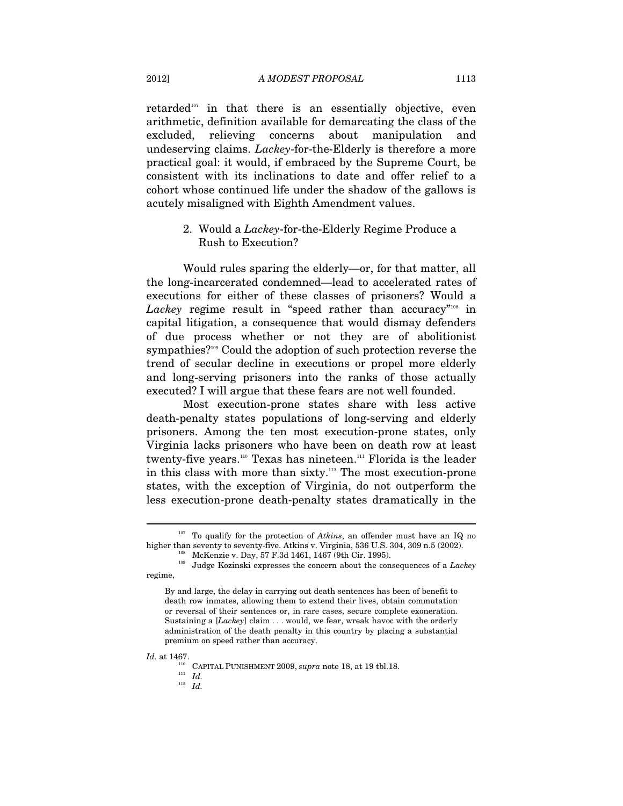retarded<sup>107</sup> in that there is an essentially objective, even arithmetic, definition available for demarcating the class of the excluded, relieving concerns about manipulation and undeserving claims. *Lackey*-for-the-Elderly is therefore a more practical goal: it would, if embraced by the Supreme Court, be consistent with its inclinations to date and offer relief to a cohort whose continued life under the shadow of the gallows is acutely misaligned with Eighth Amendment values.

## 2. Would a *Lackey*-for-the-Elderly Regime Produce a Rush to Execution?

Would rules sparing the elderly—or, for that matter, all the long-incarcerated condemned—lead to accelerated rates of executions for either of these classes of prisoners? Would a Lackey regime result in "speed rather than accuracy"<sup>108</sup> in capital litigation, a consequence that would dismay defenders of due process whether or not they are of abolitionist sympathies?<sup>109</sup> Could the adoption of such protection reverse the trend of secular decline in executions or propel more elderly and long-serving prisoners into the ranks of those actually executed? I will argue that these fears are not well founded.

Most execution-prone states share with less active death-penalty states populations of long-serving and elderly prisoners. Among the ten most execution-prone states, only Virginia lacks prisoners who have been on death row at least twenty-five years.<sup>110</sup> Texas has nineteen.<sup>111</sup> Florida is the leader in this class with more than sixty.<sup>112</sup> The most execution-prone states, with the exception of Virginia, do not outperform the less execution-prone death-penalty states dramatically in the

- -

<sup>&</sup>lt;sup>107</sup> To qualify for the protection of *Atkins*, an offender must have an IQ no higher than seventy to seventy-five. Atkins v. Virginia, 536 U.S. 304, 309 n.5 (2002).<br>McKenzie v. Day, 57 F.3d 1461, 1467 (9th Cir. 1995).<br>Judge Kozinski expresses the concern about the consequences of a *Lackey* 

regime,

By and large, the delay in carrying out death sentences has been of benefit to death row inmates, allowing them to extend their lives, obtain commutation or reversal of their sentences or, in rare cases, secure complete exoneration. Sustaining a [*Lackey*] claim . . . would, we fear, wreak havoc with the orderly administration of the death penalty in this country by placing a substantial premium on speed rather than accuracy.

 $I$ . 110 CAPITAL PUNISHMENT 2009,  $supra$  note 18, at 19 tbl.18.  $111$   $II$   $II$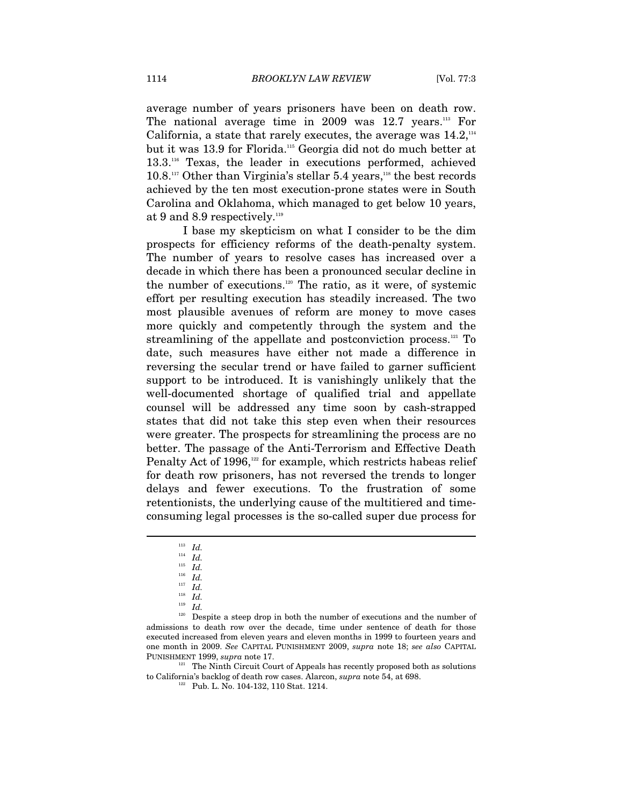average number of years prisoners have been on death row. The national average time in 2009 was 12.7 years.<sup>113</sup> For California, a state that rarely executes, the average was  $14.2<sup>114</sup>$ but it was 13.9 for Florida.115 Georgia did not do much better at 13.3.116 Texas, the leader in executions performed, achieved  $10.8.^{\scriptscriptstyle 117}$  Other than Virginia's stellar 5.4 years,<sup>118</sup> the best records achieved by the ten most execution-prone states were in South Carolina and Oklahoma, which managed to get below 10 years, at 9 and 8.9 respectively.<sup>119</sup>

I base my skepticism on what I consider to be the dim prospects for efficiency reforms of the death-penalty system. The number of years to resolve cases has increased over a decade in which there has been a pronounced secular decline in the number of executions.<sup>120</sup> The ratio, as it were, of systemic effort per resulting execution has steadily increased. The two most plausible avenues of reform are money to move cases more quickly and competently through the system and the streamlining of the appellate and postconviction process.<sup>121</sup> To date, such measures have either not made a difference in reversing the secular trend or have failed to garner sufficient support to be introduced. It is vanishingly unlikely that the well-documented shortage of qualified trial and appellate counsel will be addressed any time soon by cash-strapped states that did not take this step even when their resources were greater. The prospects for streamlining the process are no better. The passage of the Anti-Terrorism and Effective Death Penalty Act of 1996,<sup>122</sup> for example, which restricts habeas relief for death row prisoners, has not reversed the trends to longer delays and fewer executions. To the frustration of some retentionists, the underlying cause of the multitiered and timeconsuming legal processes is the so-called super due process for

 $\overline{a}$ 

to California's backlog of death row cases. Alarcon, *supra* note 54, at 698.<br><sup>122</sup> Pub. L. No. 104-132, 110 Stat. 1214.

<sup>113</sup> *Id.*<br>
<sup>114</sup> *Id.*<br>
<sup>115</sup> *Id.*<br>
<sup>116</sup> *Id.*<br>
<sup>118</sup> *Id.*<br>
<sup>118</sup> *Id.*<br>
<sup>118</sup> *Id.*<br>
<sup>118</sup> *Id.*<br>
<sup>120</sup> Despite a steep drop in both the number of executions and the number of admissions to death row over the decade, time under sentence of death for those executed increased from eleven years and eleven months in 1999 to fourteen years and one month in 2009. *See* CAPITAL PUNISHMENT 2009, *supra* note 18; *see also* CAPITAL PUNISHMENT 1999, *supra* note 17.<br><sup>121</sup> The Ninth Circuit Court of Appeals has recently proposed both as solutions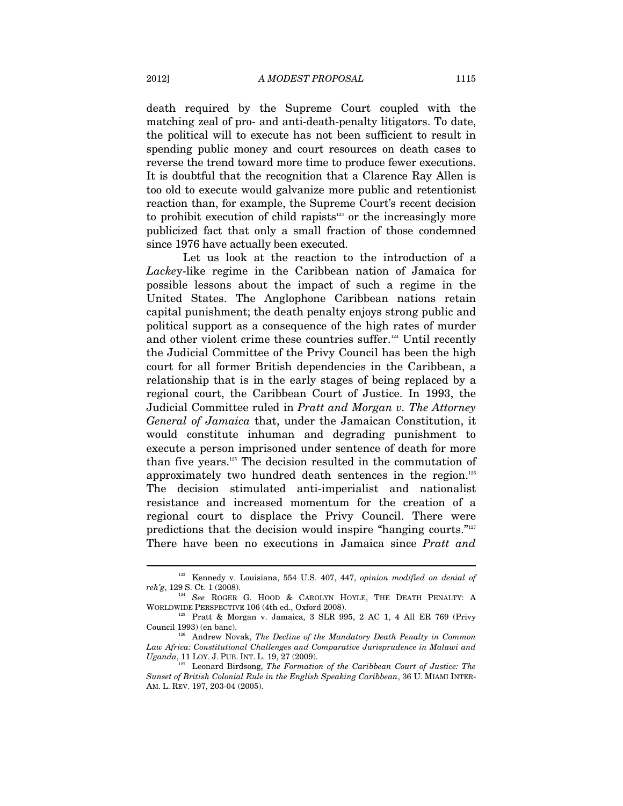death required by the Supreme Court coupled with the matching zeal of pro- and anti-death-penalty litigators. To date, the political will to execute has not been sufficient to result in spending public money and court resources on death cases to reverse the trend toward more time to produce fewer executions. It is doubtful that the recognition that a Clarence Ray Allen is too old to execute would galvanize more public and retentionist reaction than, for example, the Supreme Court's recent decision to prohibit execution of child rapists $123$  or the increasingly more publicized fact that only a small fraction of those condemned since 1976 have actually been executed.

Let us look at the reaction to the introduction of a *Lacke*y-like regime in the Caribbean nation of Jamaica for possible lessons about the impact of such a regime in the United States. The Anglophone Caribbean nations retain capital punishment; the death penalty enjoys strong public and political support as a consequence of the high rates of murder and other violent crime these countries suffer.<sup>124</sup> Until recently the Judicial Committee of the Privy Council has been the high court for all former British dependencies in the Caribbean, a relationship that is in the early stages of being replaced by a regional court, the Caribbean Court of Justice. In 1993, the Judicial Committee ruled in *Pratt and Morgan v. The Attorney General of Jamaica* that, under the Jamaican Constitution, it would constitute inhuman and degrading punishment to execute a person imprisoned under sentence of death for more than five years.125 The decision resulted in the commutation of approximately two hundred death sentences in the region.<sup>126</sup> The decision stimulated anti-imperialist and nationalist resistance and increased momentum for the creation of a regional court to displace the Privy Council. There were predictions that the decision would inspire "hanging courts."127 There have been no executions in Jamaica since *Pratt and*

 $^{123}$  Kennedy v. Louisiana, 554 U.S. 407, 447, *opinion modified on denial of reh'g*, 129 S. Ct. 1 (2008).

<sup>&</sup>lt;sup>124</sup> See ROGER G. HOOD & CAROLYN HOYLE, THE DEATH PENALTY: A WORLDWIDE PERSPECTIVE 106 (4th ed., Oxford 2008).<br><sup>125</sup> Pratt & Morgan v. Jamaica, 3 SLR 995, 2 AC 1, 4 All ER 769 (Privy

Council 1993) (en banc). 126 Andrew Novak, *The Decline of the Mandatory Death Penalty in Common* 

*Law Africa: Constitutional Challenges and Comparative Jurisprudence in Malawi and* 

<sup>&</sup>lt;sup>27</sup> Leonard Birdsong, *The Formation of the Caribbean Court of Justice: The Sunset of British Colonial Rule in the English Speaking Caribbean*, 36 U. MIAMI INTER-AM. L. REV. 197, 203-04 (2005).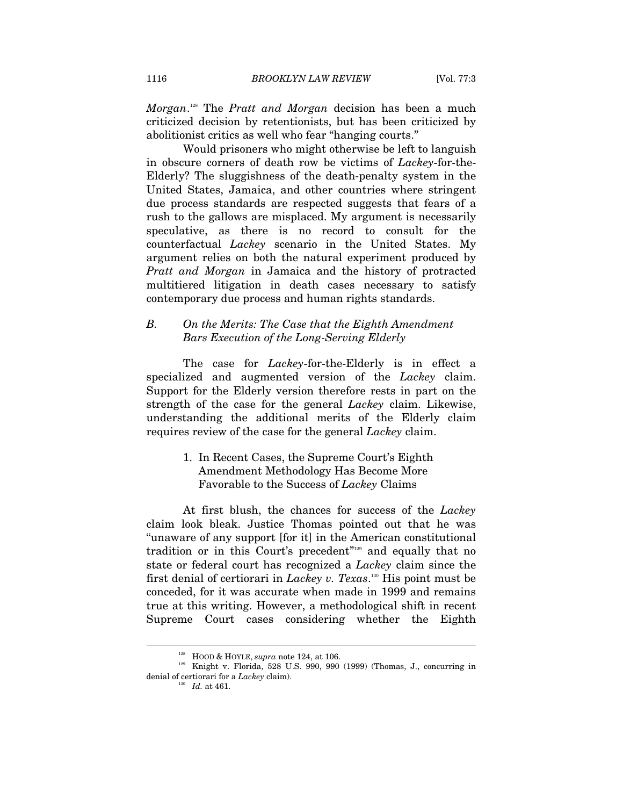*Morgan*. 128 The *Pratt and Morgan* decision has been a much criticized decision by retentionists, but has been criticized by abolitionist critics as well who fear "hanging courts."

Would prisoners who might otherwise be left to languish in obscure corners of death row be victims of *Lackey*-for-the-Elderly? The sluggishness of the death-penalty system in the United States, Jamaica, and other countries where stringent due process standards are respected suggests that fears of a rush to the gallows are misplaced. My argument is necessarily speculative, as there is no record to consult for the counterfactual *Lackey* scenario in the United States. My argument relies on both the natural experiment produced by *Pratt and Morgan* in Jamaica and the history of protracted multitiered litigation in death cases necessary to satisfy contemporary due process and human rights standards.

# *B. On the Merits: The Case that the Eighth Amendment Bars Execution of the Long-Serving Elderly*

The case for *Lackey*-for-the-Elderly is in effect a specialized and augmented version of the *Lackey* claim. Support for the Elderly version therefore rests in part on the strength of the case for the general *Lackey* claim. Likewise, understanding the additional merits of the Elderly claim requires review of the case for the general *Lackey* claim.

> 1. In Recent Cases, the Supreme Court's Eighth Amendment Methodology Has Become More Favorable to the Success of *Lackey* Claims

At first blush, the chances for success of the *Lackey* claim look bleak. Justice Thomas pointed out that he was "unaware of any support [for it] in the American constitutional tradition or in this Court's precedent<sup>"129</sup> and equally that no state or federal court has recognized a *Lackey* claim since the first denial of certiorari in *Lackey v. Texas*. 130 His point must be conceded, for it was accurate when made in 1999 and remains true at this writing. However, a methodological shift in recent Supreme Court cases considering whether the Eighth

<sup>&</sup>lt;sup>128</sup> HOOD & HOYLE, *supra* note 124, at 106.<br><sup>129</sup> Knight v. Florida, 528 U.S. 990, 990 (1999) (Thomas, J., concurring in denial of certiorari for a *Lackey* claim). 130 *Id.* at 461.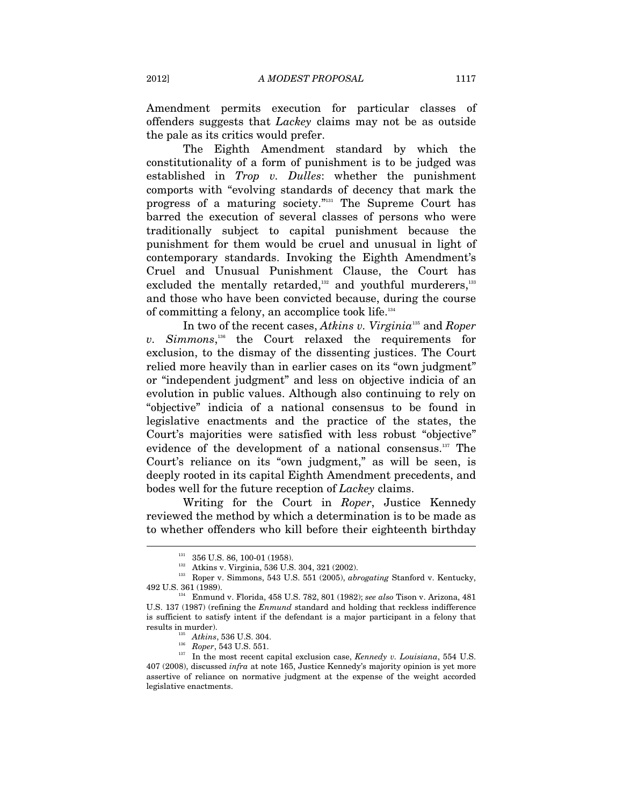Amendment permits execution for particular classes of offenders suggests that *Lackey* claims may not be as outside the pale as its critics would prefer.

The Eighth Amendment standard by which the constitutionality of a form of punishment is to be judged was established in *Trop v. Dulles*: whether the punishment comports with "evolving standards of decency that mark the progress of a maturing society."131 The Supreme Court has barred the execution of several classes of persons who were traditionally subject to capital punishment because the punishment for them would be cruel and unusual in light of contemporary standards. Invoking the Eighth Amendment's Cruel and Unusual Punishment Clause, the Court has excluded the mentally retarded,<sup>132</sup> and youthful murderers,<sup>133</sup> and those who have been convicted because, during the course of committing a felony, an accomplice took life.134

In two of the recent cases, *Atkins v. Virginia*135 and *Roper v. Simmons*, 136 the Court relaxed the requirements for exclusion, to the dismay of the dissenting justices. The Court relied more heavily than in earlier cases on its "own judgment" or "independent judgment" and less on objective indicia of an evolution in public values. Although also continuing to rely on "objective" indicia of a national consensus to be found in legislative enactments and the practice of the states, the Court's majorities were satisfied with less robust "objective" evidence of the development of a national consensus.<sup>137</sup> The Court's reliance on its "own judgment," as will be seen, is deeply rooted in its capital Eighth Amendment precedents, and bodes well for the future reception of *Lackey* claims.

Writing for the Court in *Roper*, Justice Kennedy reviewed the method by which a determination is to be made as to whether offenders who kill before their eighteenth birthday

 $131 \over 132}$  356 U.S. 86, 100-01 (1958).<br>
Atkins v. Virginia, 536 U.S. 304, 321 (2002).

<sup>&</sup>lt;sup>133</sup> Roper v. Simmons, 543 U.S. 551 (2005), *abrogating* Stanford v. Kentucky, 492 U.S. 361 (1989).

<sup>&</sup>lt;sup>134</sup> Enmund v. Florida, 458 U.S. 782, 801 (1982); *see also* Tison v. Arizona, 481 U.S. 137 (1987) (refining the *Enmund* standard and holding that reckless indifference is sufficient to satisfy intent if the defendant is a major participant in a felony that

results in murder).<br><sup>135</sup> Atkins, 536 U.S. 304.<br><sup>136</sup> Roper, 543 U.S. 551.<br><sup>137</sup> In the most recent capital exclusion case, *Kennedy v. Louisiana*, 554 U.S. 407 (2008), discussed *infra* at note 165, Justice Kennedy's majority opinion is yet more assertive of reliance on normative judgment at the expense of the weight accorded legislative enactments.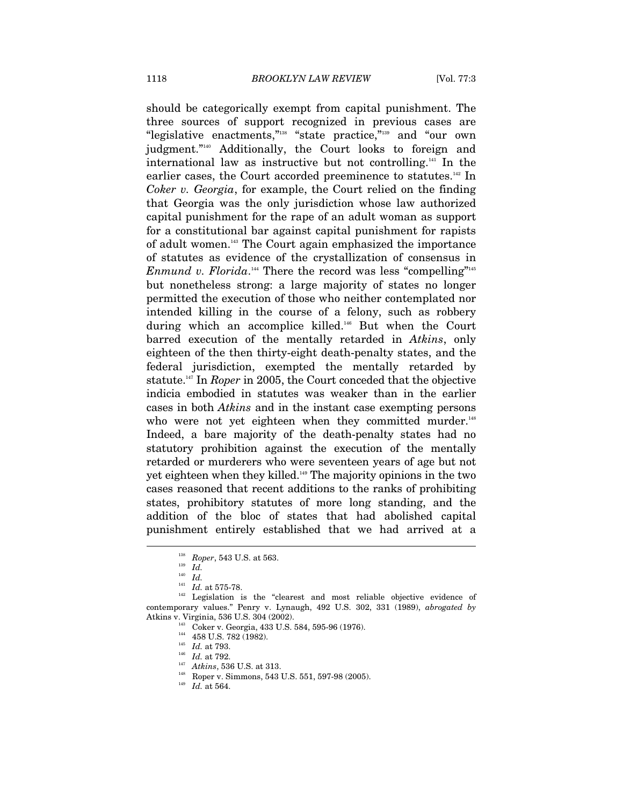should be categorically exempt from capital punishment. The three sources of support recognized in previous cases are "legislative enactments,"138 "state practice,"139 and "our own judgment."140 Additionally, the Court looks to foreign and international law as instructive but not controlling.141 In the earlier cases, the Court accorded preeminence to statutes.<sup>142</sup> In *Coker v. Georgia*, for example, the Court relied on the finding that Georgia was the only jurisdiction whose law authorized capital punishment for the rape of an adult woman as support for a constitutional bar against capital punishment for rapists of adult women.143 The Court again emphasized the importance of statutes as evidence of the crystallization of consensus in *Enmund v. Florida*.<sup>144</sup> There the record was less "compelling"<sup>145</sup> but nonetheless strong: a large majority of states no longer permitted the execution of those who neither contemplated nor intended killing in the course of a felony, such as robbery during which an accomplice killed.146 But when the Court barred execution of the mentally retarded in *Atkins*, only eighteen of the then thirty-eight death-penalty states, and the federal jurisdiction, exempted the mentally retarded by statute.147 In *Roper* in 2005, the Court conceded that the objective indicia embodied in statutes was weaker than in the earlier cases in both *Atkins* and in the instant case exempting persons who were not yet eighteen when they committed murder.<sup>148</sup> Indeed, a bare majority of the death-penalty states had no statutory prohibition against the execution of the mentally retarded or murderers who were seventeen years of age but not yet eighteen when they killed.149 The majority opinions in the two cases reasoned that recent additions to the ranks of prohibiting states, prohibitory statutes of more long standing, and the addition of the bloc of states that had abolished capital punishment entirely established that we had arrived at a

l

- 
- 

<sup>138</sup> *Roper*, 543 U.S. at 563. 139 *Id.*

<sup>&</sup>lt;sup>140</sup> *Id.* <br><sup>141</sup> *Id.* at 575-78.

<sup>&</sup>lt;sup>142</sup> Legislation is the "clearest and most reliable objective evidence of contemporary values." Penry v. Lynaugh, 492 U.S. 302, 331 (1989), *abrogated by*  Atkins v. Virginia, 536 U.S. 304 (2002).<br>
<sup>143</sup> Coker v. Georgia, 433 U.S. 584, 595-96 (1976).<br>
<sup>144</sup> 458 U.S. 782 (1982).<br>
<sup>145</sup> *Id.* at 793.<br>
<sup>146</sup> *Id.* at 792.<br>
<sup>147</sup> Atkins, 536 U.S. at 313.<br>
<sup>148</sup> Roper v. Simmons,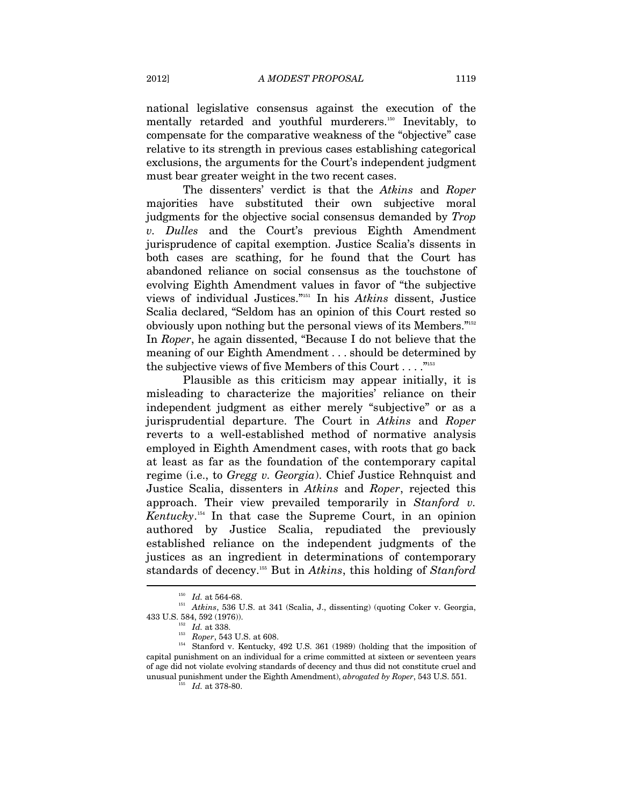national legislative consensus against the execution of the mentally retarded and youthful murderers.<sup>150</sup> Inevitably, to compensate for the comparative weakness of the "objective" case relative to its strength in previous cases establishing categorical exclusions, the arguments for the Court's independent judgment must bear greater weight in the two recent cases.

The dissenters' verdict is that the *Atkins* and *Roper* majorities have substituted their own subjective moral judgments for the objective social consensus demanded by *Trop v. Dulles* and the Court's previous Eighth Amendment jurisprudence of capital exemption. Justice Scalia's dissents in both cases are scathing, for he found that the Court has abandoned reliance on social consensus as the touchstone of evolving Eighth Amendment values in favor of "the subjective views of individual Justices."151 In his *Atkins* dissent, Justice Scalia declared, "Seldom has an opinion of this Court rested so obviously upon nothing but the personal views of its Members."152 In *Roper*, he again dissented, "Because I do not believe that the meaning of our Eighth Amendment . . . should be determined by the subjective views of five Members of this Court  $\dots$ ."<sup>153</sup>

Plausible as this criticism may appear initially, it is misleading to characterize the majorities' reliance on their independent judgment as either merely "subjective" or as a jurisprudential departure. The Court in *Atkins* and *Roper* reverts to a well-established method of normative analysis employed in Eighth Amendment cases, with roots that go back at least as far as the foundation of the contemporary capital regime (i.e., to *Gregg v. Georgia*). Chief Justice Rehnquist and Justice Scalia, dissenters in *Atkins* and *Roper*, rejected this approach. Their view prevailed temporarily in *Stanford v. Kentucky*. 154 In that case the Supreme Court, in an opinion authored by Justice Scalia, repudiated the previously established reliance on the independent judgments of the justices as an ingredient in determinations of contemporary standards of decency.155 But in *Atkins*, this holding of *Stanford* 

<sup>&</sup>lt;sup>150</sup> Id. at 564-68.<br><sup>151</sup> Atkins, 536 U.S. at 341 (Scalia, J., dissenting) (quoting Coker v. Georgia,

<sup>433</sup> U.S. 584, 592 (1976)).<br>
<sup>152</sup> *Id.* at 338.<br>
<sup>153</sup> *Roper*, 543 U.S. at 608.<br>
<sup>154</sup> Stanford v. Kentucky, 492 U.S. 361 (1989) (holding that the imposition of capital punishment on an individual for a crime committed at sixteen or seventeen years of age did not violate evolving standards of decency and thus did not constitute cruel and unusual punishment under the Eighth Amendment), *abrogated by Roper*, 543 U.S. 551. 155 *Id.* at 378-80.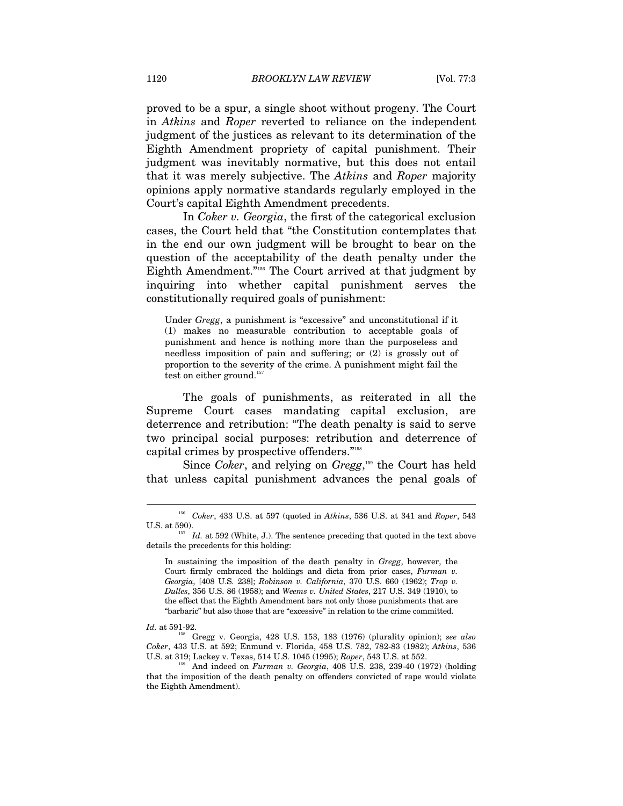proved to be a spur, a single shoot without progeny. The Court in *Atkins* and *Roper* reverted to reliance on the independent judgment of the justices as relevant to its determination of the Eighth Amendment propriety of capital punishment. Their judgment was inevitably normative, but this does not entail that it was merely subjective. The *Atkins* and *Roper* majority opinions apply normative standards regularly employed in the Court's capital Eighth Amendment precedents.

In *Coker v. Georgia*, the first of the categorical exclusion cases, the Court held that "the Constitution contemplates that in the end our own judgment will be brought to bear on the question of the acceptability of the death penalty under the Eighth Amendment."156 The Court arrived at that judgment by inquiring into whether capital punishment serves the constitutionally required goals of punishment:

Under *Gregg*, a punishment is "excessive" and unconstitutional if it (1) makes no measurable contribution to acceptable goals of punishment and hence is nothing more than the purposeless and needless imposition of pain and suffering; or (2) is grossly out of proportion to the severity of the crime. A punishment might fail the test on either ground.<sup>157</sup>

The goals of punishments, as reiterated in all the Supreme Court cases mandating capital exclusion, are deterrence and retribution: "The death penalty is said to serve two principal social purposes: retribution and deterrence of capital crimes by prospective offenders."158

Since *Coker*, and relying on *Gregg*, 159 the Court has held that unless capital punishment advances the penal goals of

<sup>156</sup> *Coker*, 433 U.S. at 597 (quoted in *Atkins*, 536 U.S. at 341 and *Roper*, 543 U.S. at 590).  $157$  *Id.* at 592 (White, J.). The sentence preceding that quoted in the text above

details the precedents for this holding:

In sustaining the imposition of the death penalty in *Gregg*, however, the Court firmly embraced the holdings and dicta from prior cases, *Furman v. Georgia*, [408 U.S. 238]; *Robinson v. California*, 370 U.S. 660 (1962); *Trop v. Dulles*, 356 U.S. 86 (1958); and *Weems v. United States*, 217 U.S. 349 (1910), to the effect that the Eighth Amendment bars not only those punishments that are "barbaric" but also those that are "excessive" in relation to the crime committed.

*Id.* at 591-92.<br><sup>158</sup> Gregg v. Georgia, 428 U.S. 153, 183 (1976) (plurality opinion); *see also Coker*, 433 U.S. at 592; Enmund v. Florida, 458 U.S. 782, 782-83 (1982); *Atkins*, 536

And indeed on *Furman v. Georgia*, 408 U.S. 238, 239-40 (1972) (holding that the imposition of the death penalty on offenders convicted of rape would violate the Eighth Amendment).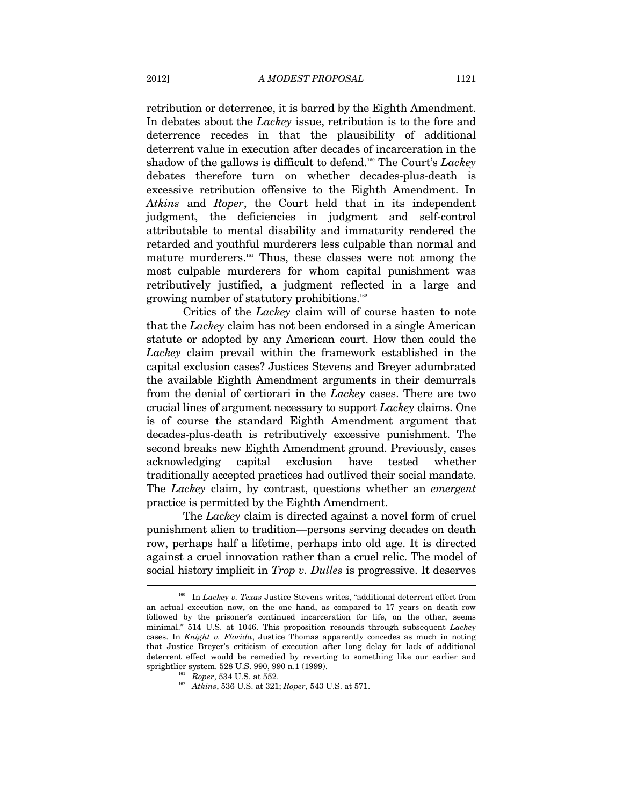retribution or deterrence, it is barred by the Eighth Amendment. In debates about the *Lackey* issue, retribution is to the fore and deterrence recedes in that the plausibility of additional deterrent value in execution after decades of incarceration in the shadow of the gallows is difficult to defend.160 The Court's *Lackey* debates therefore turn on whether decades-plus-death is excessive retribution offensive to the Eighth Amendment. In *Atkins* and *Roper*, the Court held that in its independent judgment, the deficiencies in judgment and self-control attributable to mental disability and immaturity rendered the retarded and youthful murderers less culpable than normal and mature murderers.161 Thus, these classes were not among the most culpable murderers for whom capital punishment was retributively justified, a judgment reflected in a large and growing number of statutory prohibitions.162

Critics of the *Lackey* claim will of course hasten to note that the *Lackey* claim has not been endorsed in a single American statute or adopted by any American court. How then could the *Lackey* claim prevail within the framework established in the capital exclusion cases? Justices Stevens and Breyer adumbrated the available Eighth Amendment arguments in their demurrals from the denial of certiorari in the *Lackey* cases. There are two crucial lines of argument necessary to support *Lackey* claims. One is of course the standard Eighth Amendment argument that decades-plus-death is retributively excessive punishment. The second breaks new Eighth Amendment ground. Previously, cases acknowledging capital exclusion have tested whether traditionally accepted practices had outlived their social mandate. The *Lackey* claim, by contrast, questions whether an *emergent*  practice is permitted by the Eighth Amendment.

The *Lackey* claim is directed against a novel form of cruel punishment alien to tradition—persons serving decades on death row, perhaps half a lifetime, perhaps into old age. It is directed against a cruel innovation rather than a cruel relic. The model of social history implicit in *Trop v. Dulles* is progressive. It deserves

<sup>160</sup> In *Lackey v. Texas* Justice Stevens writes, "additional deterrent effect from an actual execution now, on the one hand, as compared to 17 years on death row followed by the prisoner's continued incarceration for life, on the other, seems minimal." 514 U.S. at 1046. This proposition resounds through subsequent *Lackey* cases. In *Knight v. Florida*, Justice Thomas apparently concedes as much in noting that Justice Breyer's criticism of execution after long delay for lack of additional deterrent effect would be remedied by reverting to something like our earlier and sprightlier system. 528 U.S. 990, 990 n.1 (1999).

<sup>&</sup>lt;sup>161</sup> Roper, 534 U.S. at 552.<br><sup>162</sup> Atkins, 536 U.S. at 321; *Roper*, 543 U.S. at 571.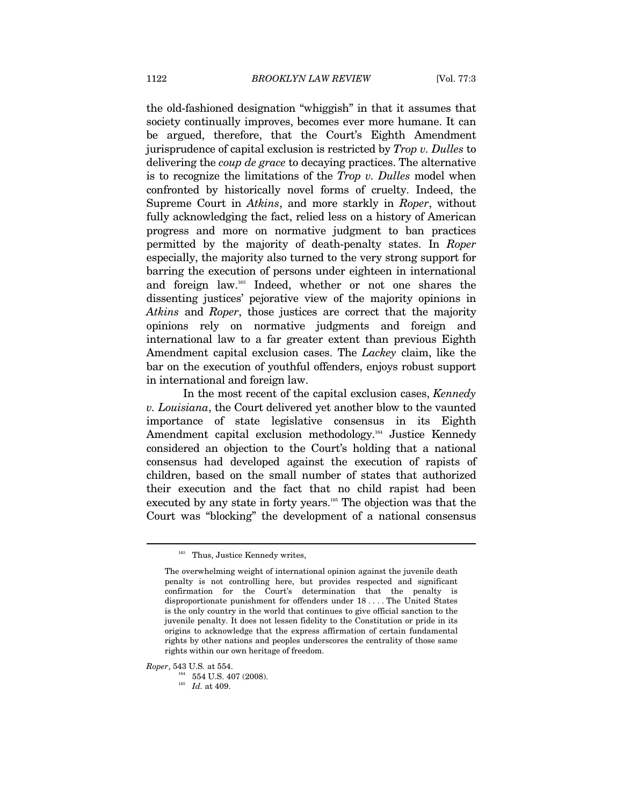the old-fashioned designation "whiggish" in that it assumes that society continually improves, becomes ever more humane. It can be argued, therefore, that the Court's Eighth Amendment jurisprudence of capital exclusion is restricted by *Trop v. Dulles* to delivering the *coup de grace* to decaying practices. The alternative is to recognize the limitations of the *Trop v. Dulles* model when confronted by historically novel forms of cruelty. Indeed, the Supreme Court in *Atkins*, and more starkly in *Roper*, without fully acknowledging the fact, relied less on a history of American progress and more on normative judgment to ban practices permitted by the majority of death-penalty states. In *Roper* especially, the majority also turned to the very strong support for barring the execution of persons under eighteen in international and foreign law.163 Indeed, whether or not one shares the dissenting justices' pejorative view of the majority opinions in *Atkins* and *Roper*, those justices are correct that the majority opinions rely on normative judgments and foreign and international law to a far greater extent than previous Eighth Amendment capital exclusion cases. The *Lackey* claim, like the bar on the execution of youthful offenders, enjoys robust support in international and foreign law.

In the most recent of the capital exclusion cases, *Kennedy v. Louisiana*, the Court delivered yet another blow to the vaunted importance of state legislative consensus in its Eighth Amendment capital exclusion methodology.<sup>164</sup> Justice Kennedy considered an objection to the Court's holding that a national consensus had developed against the execution of rapists of children, based on the small number of states that authorized their execution and the fact that no child rapist had been executed by any state in forty years.<sup>165</sup> The objection was that the Court was "blocking" the development of a national consensus

 $\overline{a}$ 

*Roper*, 543 U.S*.* at 554. 164 554 U.S. 407 (2008). 165 *Id.* at 409.

<sup>&</sup>lt;sup>163</sup> Thus, Justice Kennedy writes,

The overwhelming weight of international opinion against the juvenile death penalty is not controlling here, but provides respected and significant confirmation for the Court's determination that the penalty is disproportionate punishment for offenders under 18 . . . . The United States is the only country in the world that continues to give official sanction to the juvenile penalty. It does not lessen fidelity to the Constitution or pride in its origins to acknowledge that the express affirmation of certain fundamental rights by other nations and peoples underscores the centrality of those same rights within our own heritage of freedom.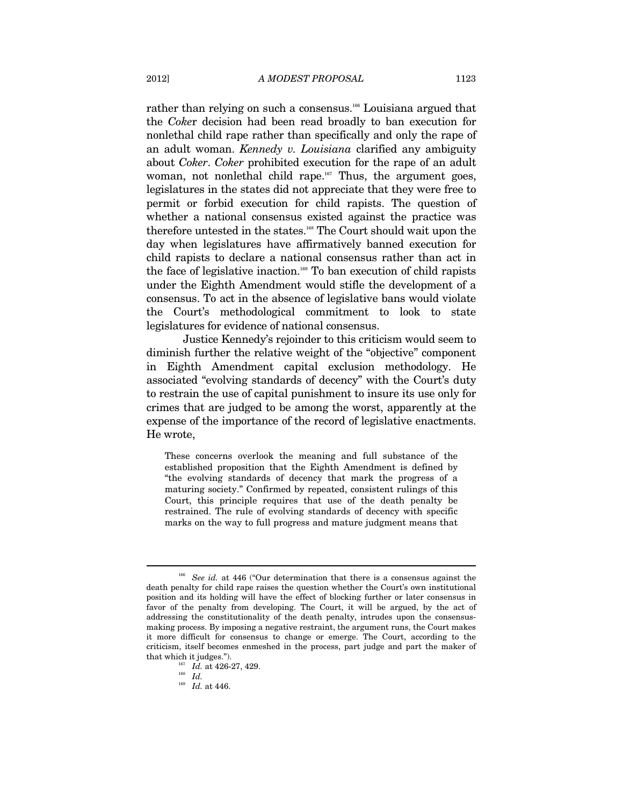rather than relying on such a consensus.<sup>166</sup> Louisiana argued that the *Coke*r decision had been read broadly to ban execution for nonlethal child rape rather than specifically and only the rape of an adult woman. *Kennedy v. Louisiana* clarified any ambiguity about *Coker*. *Coker* prohibited execution for the rape of an adult woman, not nonlethal child rape.<sup>167</sup> Thus, the argument goes, legislatures in the states did not appreciate that they were free to permit or forbid execution for child rapists. The question of whether a national consensus existed against the practice was therefore untested in the states.168 The Court should wait upon the day when legislatures have affirmatively banned execution for child rapists to declare a national consensus rather than act in the face of legislative inaction.<sup>169</sup> To ban execution of child rapists under the Eighth Amendment would stifle the development of a consensus. To act in the absence of legislative bans would violate the Court's methodological commitment to look to state legislatures for evidence of national consensus.

Justice Kennedy's rejoinder to this criticism would seem to diminish further the relative weight of the "objective" component in Eighth Amendment capital exclusion methodology. He associated "evolving standards of decency" with the Court's duty to restrain the use of capital punishment to insure its use only for crimes that are judged to be among the worst, apparently at the expense of the importance of the record of legislative enactments. He wrote,

These concerns overlook the meaning and full substance of the established proposition that the Eighth Amendment is defined by "the evolving standards of decency that mark the progress of a maturing society." Confirmed by repeated, consistent rulings of this Court, this principle requires that use of the death penalty be restrained. The rule of evolving standards of decency with specific marks on the way to full progress and mature judgment means that

<sup>166</sup> *See id.* at 446 ("Our determination that there is a consensus against the death penalty for child rape raises the question whether the Court's own institutional position and its holding will have the effect of blocking further or later consensus in favor of the penalty from developing. The Court, it will be argued, by the act of addressing the constitutionality of the death penalty, intrudes upon the consensusmaking process. By imposing a negative restraint, the argument runs, the Court makes it more difficult for consensus to change or emerge. The Court, according to the criticism, itself becomes enmeshed in the process, part judge and part the maker of that which it judges.").<br>  $\frac{167}{168}$  *Id.* at 426-27, 429.<br> *Id.* 

<sup>169</sup> *Id.* at 446.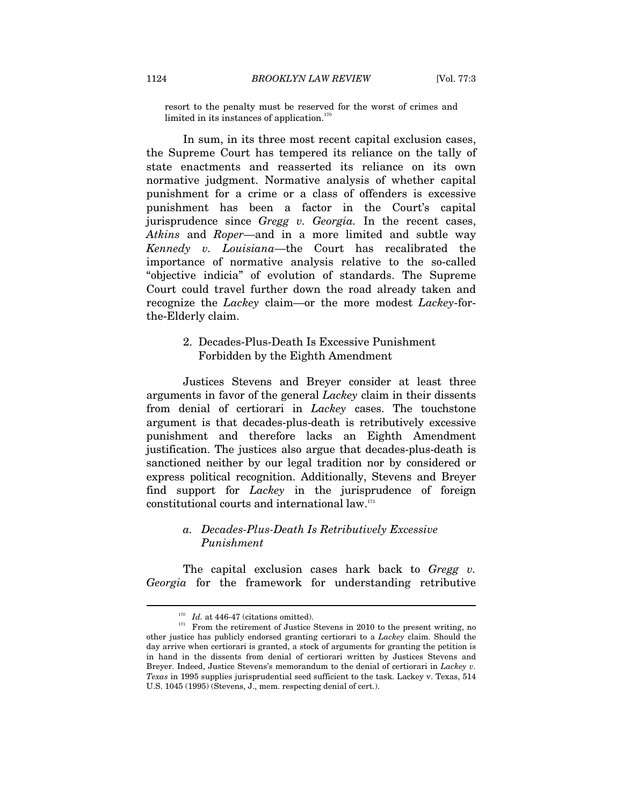resort to the penalty must be reserved for the worst of crimes and limited in its instances of application.<sup>170</sup>

In sum, in its three most recent capital exclusion cases, the Supreme Court has tempered its reliance on the tally of state enactments and reasserted its reliance on its own normative judgment. Normative analysis of whether capital punishment for a crime or a class of offenders is excessive punishment has been a factor in the Court's capital jurisprudence since *Gregg v. Georgia.* In the recent cases, *Atkins* and *Roper*—and in a more limited and subtle way *Kennedy v. Louisiana*—the Court has recalibrated the importance of normative analysis relative to the so-called "objective indicia" of evolution of standards. The Supreme Court could travel further down the road already taken and recognize the *Lackey* claim—or the more modest *Lackey*-forthe-Elderly claim.

## 2. Decades-Plus-Death Is Excessive Punishment Forbidden by the Eighth Amendment

Justices Stevens and Breyer consider at least three arguments in favor of the general *Lackey* claim in their dissents from denial of certiorari in *Lackey* cases. The touchstone argument is that decades-plus-death is retributively excessive punishment and therefore lacks an Eighth Amendment justification. The justices also argue that decades-plus-death is sanctioned neither by our legal tradition nor by considered or express political recognition. Additionally, Stevens and Breyer find support for *Lackey* in the jurisprudence of foreign constitutional courts and international law.171

## *a. Decades-Plus-Death Is Retributively Excessive Punishment*

The capital exclusion cases hark back to *Gregg v. Georgia* for the framework for understanding retributive

<sup>&</sup>lt;sup>170</sup> *Id.* at 446-47 (citations omitted).<br><sup>171</sup> From the retirement of Justice Stevens in 2010 to the present writing, no other justice has publicly endorsed granting certiorari to a *Lackey* claim. Should the day arrive when certiorari is granted, a stock of arguments for granting the petition is in hand in the dissents from denial of certiorari written by Justices Stevens and Breyer. Indeed, Justice Stevens's memorandum to the denial of certiorari in *Lackey v. Texas* in 1995 supplies jurisprudential seed sufficient to the task. Lackey v. Texas, 514 U.S. 1045 (1995) (Stevens, J., mem. respecting denial of cert.).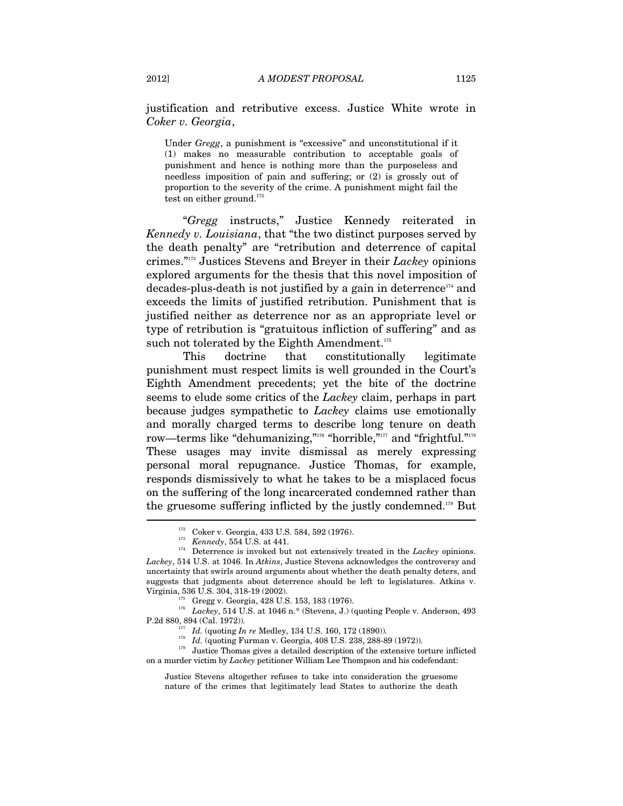justification and retributive excess. Justice White wrote in *Coker v. Georgia*,

Under *Gregg*, a punishment is "excessive" and unconstitutional if it (1) makes no measurable contribution to acceptable goals of punishment and hence is nothing more than the purposeless and needless imposition of pain and suffering; or (2) is grossly out of proportion to the severity of the crime. A punishment might fail the test on either ground. $172$ 

"*Gregg* instructs," Justice Kennedy reiterated in *Kennedy v. Louisiana*, that "the two distinct purposes served by the death penalty" are "retribution and deterrence of capital crimes."173 Justices Stevens and Breyer in their *Lackey* opinions explored arguments for the thesis that this novel imposition of decades-plus-death is not justified by a gain in deterrence<sup>174</sup> and exceeds the limits of justified retribution. Punishment that is justified neither as deterrence nor as an appropriate level or type of retribution is "gratuitous infliction of suffering" and as such not tolerated by the Eighth Amendment. $175$ 

This doctrine that constitutionally legitimate punishment must respect limits is well grounded in the Court's Eighth Amendment precedents; yet the bite of the doctrine seems to elude some critics of the *Lackey* claim, perhaps in part because judges sympathetic to *Lackey* claims use emotionally and morally charged terms to describe long tenure on death row—terms like "dehumanizing,"<sup>176</sup> "horrible,"<sup>177</sup> and "frightful."<sup>178</sup> These usages may invite dismissal as merely expressing personal moral repugnance. Justice Thomas, for example, responds dismissively to what he takes to be a misplaced focus on the suffering of the long incarcerated condemned rather than the gruesome suffering inflicted by the justly condemned.179 But

<sup>179</sup> Justice Thomas gives a detailed description of the extensive torture inflicted on a murder victim by *Lackey* petitioner William Lee Thompson and his codefendant:

<sup>&</sup>lt;sup>172</sup> Coker v. Georgia, 433 U.S. 584, 592 (1976).<br><sup>173</sup> *Kennedy*, 554 U.S. at 441.<br><sup>174</sup> Deterrence is invoked but not extensively treated in the *Lackey* opinions. *Lackey*, 514 U.S. at 1046. In *Atkins*, Justice Stevens acknowledges the controversy and uncertainty that swirls around arguments about whether the death penalty deters, and suggests that judgments about deterrence should be left to legislatures. Atkins v.

Virginia, 536 U.S. 304, 318-19 (2002). 175 Gregg v. Georgia, 428 U.S. 153, 183 (1976). 176 *Lackey*, 514 U.S. at 1046 n.\* (Stevens, J.) (quoting People v. Anderson, 493 P.2d 880, 894 (Cal. 1972))*.*

<sup>177</sup> *Id.* (quoting *In re* Medley, 134 U.S. 160, 172 (1890))*.*

<sup>178</sup> *Id.* (quoting Furman v. Georgia, 408 U.S. 238, 288-89 (1972))*.*

Justice Stevens altogether refuses to take into consideration the gruesome nature of the crimes that legitimately lead States to authorize the death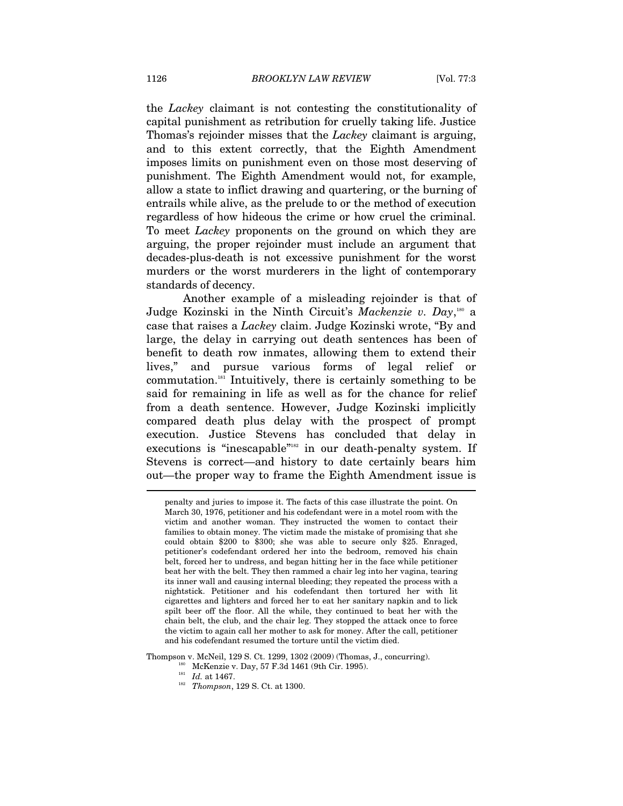the *Lackey* claimant is not contesting the constitutionality of capital punishment as retribution for cruelly taking life. Justice Thomas's rejoinder misses that the *Lackey* claimant is arguing, and to this extent correctly, that the Eighth Amendment imposes limits on punishment even on those most deserving of punishment. The Eighth Amendment would not, for example, allow a state to inflict drawing and quartering, or the burning of entrails while alive, as the prelude to or the method of execution regardless of how hideous the crime or how cruel the criminal. To meet *Lackey* proponents on the ground on which they are arguing, the proper rejoinder must include an argument that decades-plus-death is not excessive punishment for the worst murders or the worst murderers in the light of contemporary standards of decency.

Another example of a misleading rejoinder is that of Judge Kozinski in the Ninth Circuit's *Mackenzie v. Day*,<sup>180</sup> a case that raises a *Lackey* claim. Judge Kozinski wrote, "By and large, the delay in carrying out death sentences has been of benefit to death row inmates, allowing them to extend their lives," and pursue various forms of legal relief or commutation.181 Intuitively, there is certainly something to be said for remaining in life as well as for the chance for relief from a death sentence. However, Judge Kozinski implicitly compared death plus delay with the prospect of prompt execution. Justice Stevens has concluded that delay in executions is "inescapable"<sup>182</sup> in our death-penalty system. If Stevens is correct—and history to date certainly bears him out—the proper way to frame the Eighth Amendment issue is  $\overline{a}$ 

Thompson v. McNeil, 129 S. Ct. 1299, 1302 (2009) (Thomas, J., concurring). 180 McKenzie v. Day, 57 F.3d 1461 (9th Cir. 1995). 181 *Id.* at 1467. *Thompson*, 129 S. Ct. at 1300.

penalty and juries to impose it. The facts of this case illustrate the point. On March 30, 1976, petitioner and his codefendant were in a motel room with the victim and another woman. They instructed the women to contact their families to obtain money. The victim made the mistake of promising that she could obtain \$200 to \$300; she was able to secure only \$25. Enraged, petitioner's codefendant ordered her into the bedroom, removed his chain belt, forced her to undress, and began hitting her in the face while petitioner beat her with the belt. They then rammed a chair leg into her vagina, tearing its inner wall and causing internal bleeding; they repeated the process with a nightstick. Petitioner and his codefendant then tortured her with lit cigarettes and lighters and forced her to eat her sanitary napkin and to lick spilt beer off the floor. All the while, they continued to beat her with the chain belt, the club, and the chair leg. They stopped the attack once to force the victim to again call her mother to ask for money. After the call, petitioner and his codefendant resumed the torture until the victim died.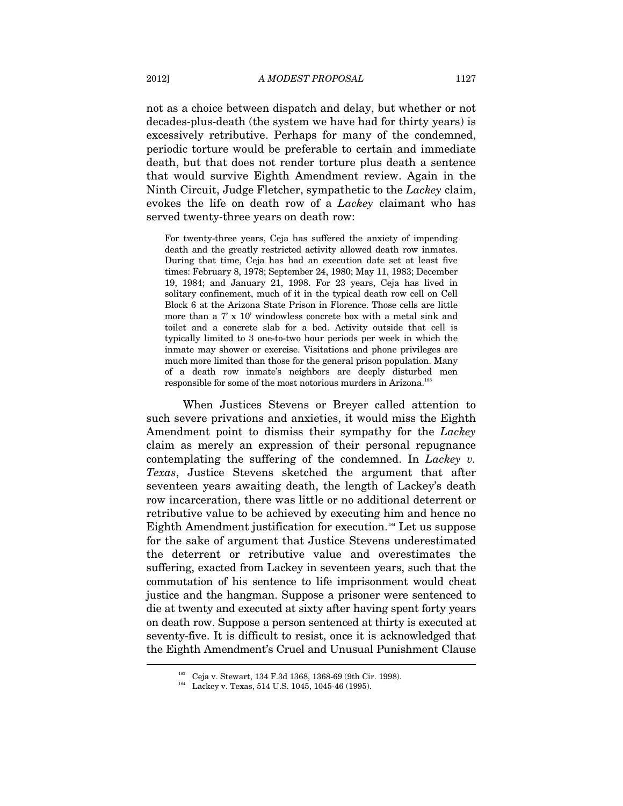not as a choice between dispatch and delay, but whether or not decades-plus-death (the system we have had for thirty years) is excessively retributive. Perhaps for many of the condemned, periodic torture would be preferable to certain and immediate death, but that does not render torture plus death a sentence that would survive Eighth Amendment review. Again in the Ninth Circuit, Judge Fletcher, sympathetic to the *Lackey* claim, evokes the life on death row of a *Lackey* claimant who has served twenty-three years on death row:

For twenty-three years, Ceja has suffered the anxiety of impending death and the greatly restricted activity allowed death row inmates. During that time, Ceja has had an execution date set at least five times: February 8, 1978; September 24, 1980; May 11, 1983; December 19, 1984; and January 21, 1998. For 23 years, Ceja has lived in solitary confinement, much of it in the typical death row cell on Cell Block 6 at the Arizona State Prison in Florence. Those cells are little more than a 7' x 10' windowless concrete box with a metal sink and toilet and a concrete slab for a bed. Activity outside that cell is typically limited to 3 one-to-two hour periods per week in which the inmate may shower or exercise. Visitations and phone privileges are much more limited than those for the general prison population. Many of a death row inmate's neighbors are deeply disturbed men responsible for some of the most notorious murders in Arizona.<sup>183</sup>

When Justices Stevens or Breyer called attention to such severe privations and anxieties, it would miss the Eighth Amendment point to dismiss their sympathy for the *Lackey* claim as merely an expression of their personal repugnance contemplating the suffering of the condemned. In *Lackey v. Texas*, Justice Stevens sketched the argument that after seventeen years awaiting death, the length of Lackey's death row incarceration, there was little or no additional deterrent or retributive value to be achieved by executing him and hence no Eighth Amendment justification for execution.184 Let us suppose for the sake of argument that Justice Stevens underestimated the deterrent or retributive value and overestimates the suffering, exacted from Lackey in seventeen years, such that the commutation of his sentence to life imprisonment would cheat justice and the hangman. Suppose a prisoner were sentenced to die at twenty and executed at sixty after having spent forty years on death row. Suppose a person sentenced at thirty is executed at seventy-five. It is difficult to resist, once it is acknowledged that the Eighth Amendment's Cruel and Unusual Punishment Clause  $\overline{a}$ 

<sup>&</sup>lt;sup>183</sup> Ceja v. Stewart, 134 F.3d 1368, 1368-69 (9th Cir. 1998).<br><sup>184</sup> Lackey v. Texas, 514 U.S. 1045, 1045-46 (1995).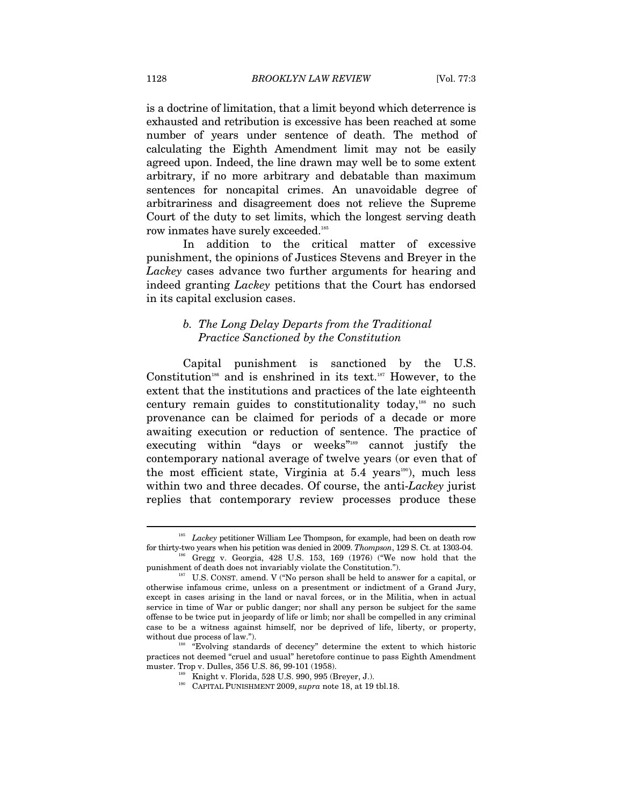is a doctrine of limitation, that a limit beyond which deterrence is exhausted and retribution is excessive has been reached at some number of years under sentence of death. The method of calculating the Eighth Amendment limit may not be easily agreed upon. Indeed, the line drawn may well be to some extent arbitrary, if no more arbitrary and debatable than maximum sentences for noncapital crimes. An unavoidable degree of arbitrariness and disagreement does not relieve the Supreme Court of the duty to set limits, which the longest serving death row inmates have surely exceeded.<sup>185</sup>

In addition to the critical matter of excessive punishment, the opinions of Justices Stevens and Breyer in the *Lackey* cases advance two further arguments for hearing and indeed granting *Lackey* petitions that the Court has endorsed in its capital exclusion cases.

#### *b. The Long Delay Departs from the Traditional Practice Sanctioned by the Constitution*

Capital punishment is sanctioned by the U.S. Constitution<sup>186</sup> and is enshrined in its text.<sup>187</sup> However, to the extent that the institutions and practices of the late eighteenth century remain guides to constitutionality today,188 no such provenance can be claimed for periods of a decade or more awaiting execution or reduction of sentence. The practice of executing within "days or weeks"<sup>189</sup> cannot justify the contemporary national average of twelve years (or even that of the most efficient state, Virginia at  $5.4$  years<sup>190</sup>), much less within two and three decades. Of course, the anti-*Lackey* jurist replies that contemporary review processes produce these

<sup>&</sup>lt;sup>185</sup> *Lackey* petitioner William Lee Thompson, for example, had been on death row for thirty-two years when his petition was denied in 2009. *Thompson*, 129 S. Ct. at 1303-04. 186 Gregg v. Georgia, 428 U.S. 153, 169 (1976) ("We now hold that the

punishment of death does not invariably violate the Constitution.").<br><sup>187</sup> U.S. CONST. amend. V ("No person shall be held to answer for a capital, or

otherwise infamous crime, unless on a presentment or indictment of a Grand Jury, except in cases arising in the land or naval forces, or in the Militia, when in actual service in time of War or public danger; nor shall any person be subject for the same offense to be twice put in jeopardy of life or limb; nor shall be compelled in any criminal case to be a witness against himself, nor be deprived of life, liberty, or property, without due process of law.").<br><sup>188</sup> "Evolving standards of decency" determine the extent to which historic

practices not deemed "cruel and usual" heretofore continue to pass Eighth Amendment

<sup>&</sup>lt;sup>189</sup> Knight v. Florida, 528 U.S. 990, 995 (Breyer, J.). CAPITAL PUNISHMENT 2009, *supra* note 18, at 19 tbl.18.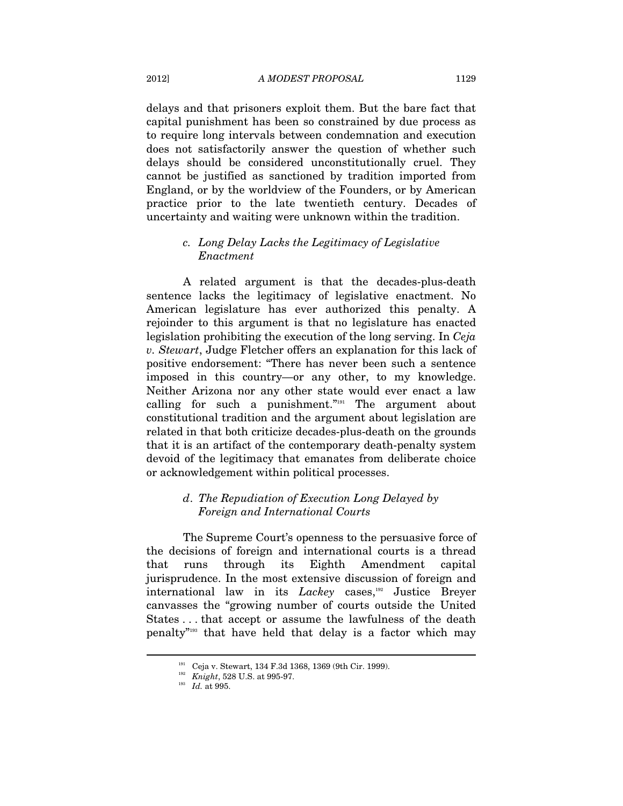delays and that prisoners exploit them. But the bare fact that capital punishment has been so constrained by due process as to require long intervals between condemnation and execution does not satisfactorily answer the question of whether such delays should be considered unconstitutionally cruel. They cannot be justified as sanctioned by tradition imported from England, or by the worldview of the Founders, or by American practice prior to the late twentieth century. Decades of uncertainty and waiting were unknown within the tradition.

## *c. Long Delay Lacks the Legitimacy of Legislative Enactment*

A related argument is that the decades-plus-death sentence lacks the legitimacy of legislative enactment. No American legislature has ever authorized this penalty. A rejoinder to this argument is that no legislature has enacted legislation prohibiting the execution of the long serving. In *Ceja v. Stewart*, Judge Fletcher offers an explanation for this lack of positive endorsement: "There has never been such a sentence imposed in this country—or any other, to my knowledge. Neither Arizona nor any other state would ever enact a law calling for such a punishment."191 The argument about constitutional tradition and the argument about legislation are related in that both criticize decades-plus-death on the grounds that it is an artifact of the contemporary death-penalty system devoid of the legitimacy that emanates from deliberate choice or acknowledgement within political processes.

### *d*. *The Repudiation of Execution Long Delayed by Foreign and International Courts*

The Supreme Court's openness to the persuasive force of the decisions of foreign and international courts is a thread that runs through its Eighth Amendment capital jurisprudence. In the most extensive discussion of foreign and international law in its *Lackey* cases,<sup>192</sup> Justice Breyer canvasses the "growing number of courts outside the United States . . . that accept or assume the lawfulness of the death penalty"193 that have held that delay is a factor which may

<sup>191</sup> Ceja v. Stewart, 134 F.3d 1368, 1369 (9th Cir. 1999). 192 *Knight*, 528 U.S. at 995-97. 193 *Id.* at 995.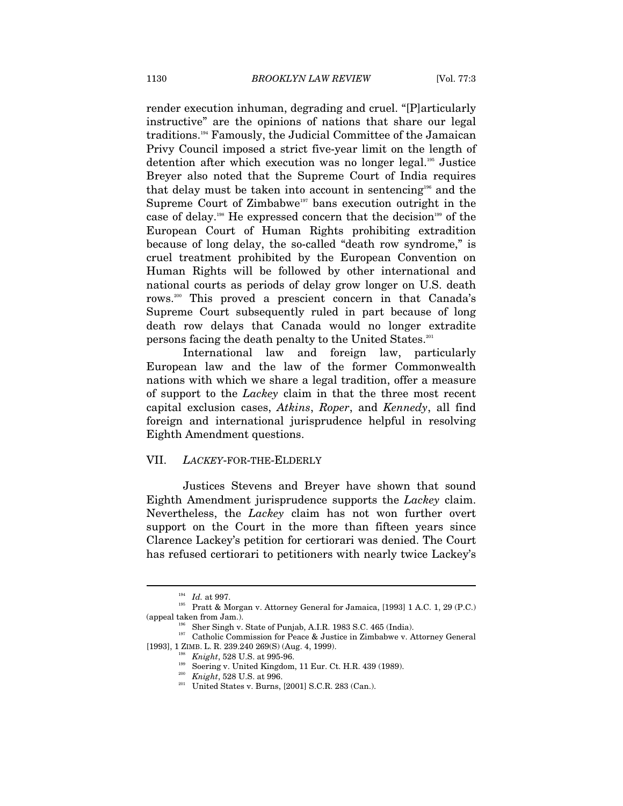render execution inhuman, degrading and cruel. "[P]articularly instructive" are the opinions of nations that share our legal traditions.194 Famously, the Judicial Committee of the Jamaican Privy Council imposed a strict five-year limit on the length of detention after which execution was no longer legal.<sup>195</sup> Justice Breyer also noted that the Supreme Court of India requires that delay must be taken into account in sentencing<sup>196</sup> and the Supreme Court of Zimbabwe<sup>197</sup> bans execution outright in the case of delay.198 He expressed concern that the decision199 of the European Court of Human Rights prohibiting extradition because of long delay, the so-called "death row syndrome," is cruel treatment prohibited by the European Convention on Human Rights will be followed by other international and national courts as periods of delay grow longer on U.S. death rows.200 This proved a prescient concern in that Canada's Supreme Court subsequently ruled in part because of long death row delays that Canada would no longer extradite persons facing the death penalty to the United States.201

International law and foreign law, particularly European law and the law of the former Commonwealth nations with which we share a legal tradition, offer a measure of support to the *Lackey* claim in that the three most recent capital exclusion cases, *Atkins*, *Roper*, and *Kennedy*, all find foreign and international jurisprudence helpful in resolving Eighth Amendment questions.

#### VII. *LACKEY*-FOR-THE-ELDERLY

Justices Stevens and Breyer have shown that sound Eighth Amendment jurisprudence supports the *Lackey* claim. Nevertheless, the *Lackey* claim has not won further overt support on the Court in the more than fifteen years since Clarence Lackey's petition for certiorari was denied. The Court has refused certiorari to petitioners with nearly twice Lackey's

 $^{194}$   $\,$   $Id.$  at 997.  $^{195}$  Pratt & Morgan v. Attorney General for Jamaica, [1993] 1 A.C. 1, 29 (P.C.)

<sup>(</sup>appeal taken from Jam.). 196 Sher Singh v. State of Punjab, A.I.R. 1983 S.C. 465 (India). 197 Catholic Commission for Peace & Justice in Zimbabwe v. Attorney General  $[1993],\, 1\, \text{ZIMB. L. R. 239.240 269(S) (Aug. 4, 1999). } \begin{array}{l} \text{Knight, 528 U.S. at 995-96. }\\ \text{50} \text{Sverige v. United Kingdom, 11 Eur. Ct. H.R. 439 (1989). }\\ \text{60} \text{Wright, 528 U.S. at 996. }\\ \text{41} \text{Wright, 528 U.S. at 996. }\\ \text{51} \text{Wright, 528 U.S. at 996. }\\ \text{62} \text{Wright, 528 U.S. at$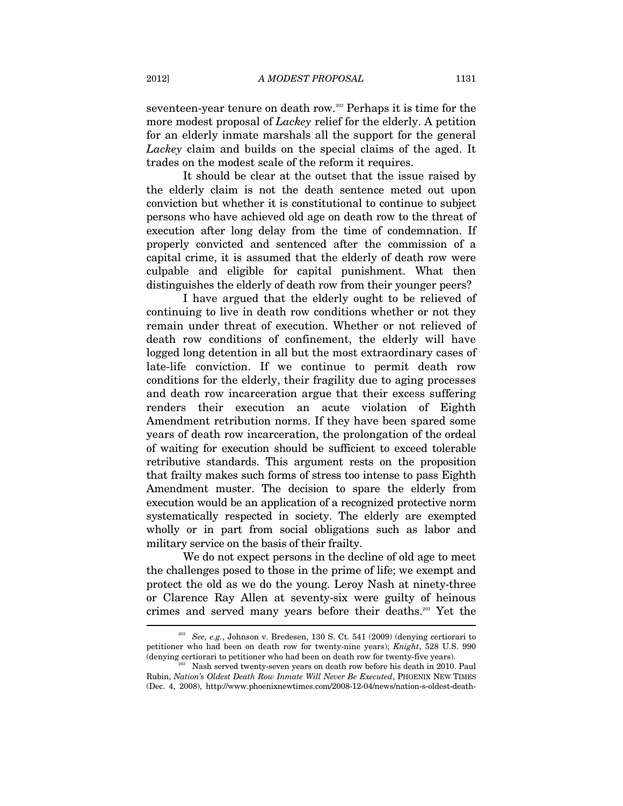seventeen-year tenure on death row.<sup>202</sup> Perhaps it is time for the more modest proposal of *Lackey* relief for the elderly. A petition for an elderly inmate marshals all the support for the general *Lackey* claim and builds on the special claims of the aged. It trades on the modest scale of the reform it requires.

It should be clear at the outset that the issue raised by the elderly claim is not the death sentence meted out upon conviction but whether it is constitutional to continue to subject persons who have achieved old age on death row to the threat of execution after long delay from the time of condemnation. If properly convicted and sentenced after the commission of a capital crime, it is assumed that the elderly of death row were culpable and eligible for capital punishment. What then distinguishes the elderly of death row from their younger peers?

I have argued that the elderly ought to be relieved of continuing to live in death row conditions whether or not they remain under threat of execution. Whether or not relieved of death row conditions of confinement, the elderly will have logged long detention in all but the most extraordinary cases of late-life conviction. If we continue to permit death row conditions for the elderly, their fragility due to aging processes and death row incarceration argue that their excess suffering renders their execution an acute violation of Eighth Amendment retribution norms. If they have been spared some years of death row incarceration, the prolongation of the ordeal of waiting for execution should be sufficient to exceed tolerable retributive standards. This argument rests on the proposition that frailty makes such forms of stress too intense to pass Eighth Amendment muster. The decision to spare the elderly from execution would be an application of a recognized protective norm systematically respected in society. The elderly are exempted wholly or in part from social obligations such as labor and military service on the basis of their frailty.

We do not expect persons in the decline of old age to meet the challenges posed to those in the prime of life; we exempt and protect the old as we do the young. Leroy Nash at ninety-three or Clarence Ray Allen at seventy-six were guilty of heinous crimes and served many years before their deaths.203 Yet the

<sup>202</sup> *See, e.g.*, Johnson v. Bredesen, 130 S. Ct. 541 (2009) (denying certiorari to petitioner who had been on death row for twenty-nine years); *Knight*, 528 U.S. 990 (denying certiorari to petitioner who had been on death row for twenty-five years). 203 Nash served twenty-seven years on death row before his death in 2010. Paul

Rubin, *Nation's Oldest Death Row Inmate Will Never Be Executed*, PHOENIX NEW TIMES (Dec. 4, 2008), http://www.phoenixnewtimes.com/2008-12-04/news/nation-s-oldest-death-